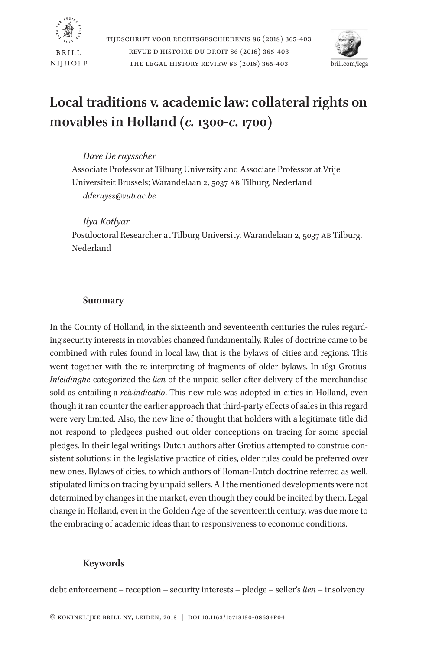



# **Local traditions v. academic law: collateral rights on movables in Holland (***c.* **1300-***c***. 1700)**

## *Dave De ruysscher*

Associate Professor at Tilburg University and Associate Professor at Vrije Universiteit Brussels; Warandelaan 2, 5037 AB Tilburg, Nederland *dderuyss@vub.ac.be*

### *Ilya Kotlyar*

Postdoctoral Researcher at Tilburg University, Warandelaan 2, 5037 AB Tilburg, Nederland

## **Summary**

In the County of Holland, in the sixteenth and seventeenth centuries the rules regarding security interests in movables changed fundamentally. Rules of doctrine came to be combined with rules found in local law, that is the bylaws of cities and regions. This went together with the re-interpreting of fragments of older bylaws. In 1631 Grotius' *Inleidinghe* categorized the *lien* of the unpaid seller after delivery of the merchandise sold as entailing a *reivindicatio*. This new rule was adopted in cities in Holland, even though it ran counter the earlier approach that third-party effects of sales in this regard were very limited. Also, the new line of thought that holders with a legitimate title did not respond to pledgees pushed out older conceptions on tracing for some special pledges. In their legal writings Dutch authors after Grotius attempted to construe consistent solutions; in the legislative practice of cities, older rules could be preferred over new ones. Bylaws of cities, to which authors of Roman-Dutch doctrine referred as well, stipulated limits on tracing by unpaid sellers. All the mentioned developments were not determined by changes in the market, even though they could be incited by them. Legal change in Holland, even in the Golden Age of the seventeenth century, was due more to the embracing of academic ideas than to responsiveness to economic conditions.

## **Keywords**

debt enforcement – reception – security interests – pledge – seller's *lien* – insolvency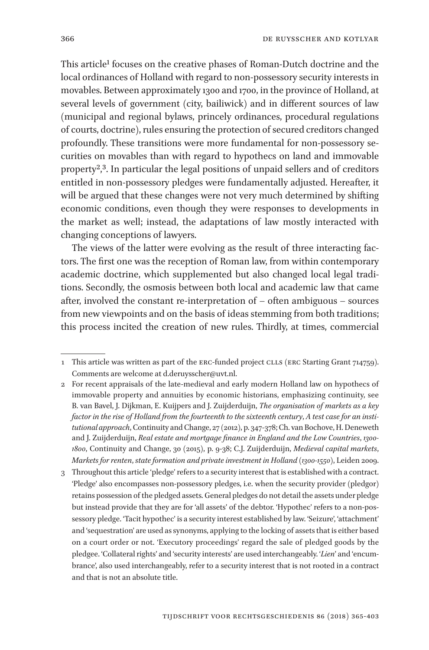This article<sup>1</sup> focuses on the creative phases of Roman-Dutch doctrine and the local ordinances of Holland with regard to non-possessory security interests in movables. Between approximately 1300 and 1700, in the province of Holland, at several levels of government (city, bailiwick) and in different sources of law (municipal and regional bylaws, princely ordinances, procedural regulations of courts, doctrine), rules ensuring the protection of secured creditors changed profoundly. These transitions were more fundamental for non-possessory securities on movables than with regard to hypothecs on land and immovable property<sup>2</sup>,<sup>3</sup>. In particular the legal positions of unpaid sellers and of creditors entitled in non-possessory pledges were fundamentally adjusted. Hereafter, it will be argued that these changes were not very much determined by shifting economic conditions, even though they were responses to developments in the market as well; instead, the adaptations of law mostly interacted with changing conceptions of lawyers.

The views of the latter were evolving as the result of three interacting factors. The first one was the reception of Roman law, from within contemporary academic doctrine, which supplemented but also changed local legal traditions. Secondly, the osmosis between both local and academic law that came after, involved the constant re-interpretation of – often ambiguous – sources from new viewpoints and on the basis of ideas stemming from both traditions; this process incited the creation of new rules. Thirdly, at times, commercial

<sup>1</sup> This article was written as part of the ERC-funded project CLLS (ERC Starting Grant 714759). Comments are welcome at d.deruysscher@uvt.nl.

<sup>2</sup> For recent appraisals of the late-medieval and early modern Holland law on hypothecs of immovable property and annuities by economic historians, emphasizing continuity, see B. van Bavel, J. Dijkman, E. Kuijpers and J. Zuijderduijn, *The organisation of markets as a key factor in the rise of Holland from the fourteenth to the sixteenth century*, *A test case for an institutional approach*, Continuity and Change, 27 (2012), p. 347-378; Ch. van Bochove, H. Deneweth and J. Zuijderduijn, *Real estate and mortgage finance in England and the Low Countries*, *1300- 1800*, Continuity and Change, 30 (2015), p. 9-38; C.J. Zuijderduijn, *Medieval capital markets*, *Markets for renten*, *state formation and private investment in Holland* (*1300-1550*), Leiden 2009.

<sup>3</sup> Throughout this article 'pledge' refers to a security interest that is established with a contract. 'Pledge' also encompasses non-possessory pledges, i.e. when the security provider (pledgor) retains possession of the pledged assets. General pledges do not detail the assets under pledge but instead provide that they are for 'all assets' of the debtor. 'Hypothec' refers to a non-possessory pledge. 'Tacit hypothec' is a security interest established by law. 'Seizure', 'attachment' and 'sequestration' are used as synonyms, applying to the locking of assets that is either based on a court order or not. 'Executory proceedings' regard the sale of pledged goods by the pledgee. 'Collateral rights' and 'security interests' are used interchangeably. '*Lien*' and 'encumbrance', also used interchangeably, refer to a security interest that is not rooted in a contract and that is not an absolute title.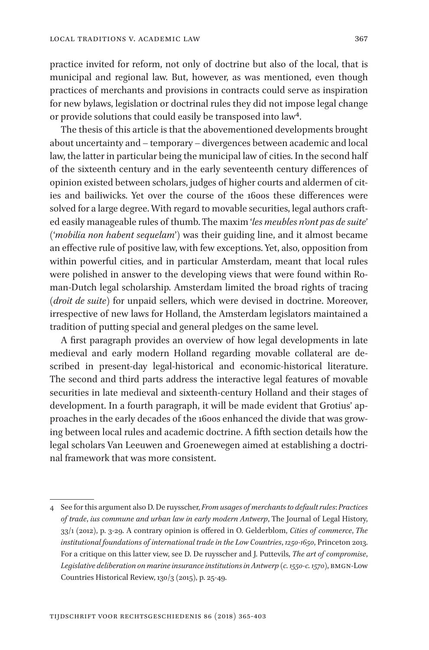practice invited for reform, not only of doctrine but also of the local, that is municipal and regional law. But, however, as was mentioned, even though practices of merchants and provisions in contracts could serve as inspiration for new bylaws, legislation or doctrinal rules they did not impose legal change or provide solutions that could easily be transposed into law4.

The thesis of this article is that the abovementioned developments brought about uncertainty and – temporary – divergences between academic and local law, the latter in particular being the municipal law of cities. In the second half of the sixteenth century and in the early seventeenth century differences of opinion existed between scholars, judges of higher courts and aldermen of cities and bailiwicks. Yet over the course of the 1600s these differences were solved for a large degree. With regard to movable securities, legal authors crafted easily manageable rules of thumb. The maxim '*les meubles n'ont pas de suite*' ('*mobilia non habent sequelam*') was their guiding line, and it almost became an effective rule of positive law, with few exceptions. Yet, also, opposition from within powerful cities, and in particular Amsterdam, meant that local rules were polished in answer to the developing views that were found within Roman-Dutch legal scholarship. Amsterdam limited the broad rights of tracing (*droit de suite*) for unpaid sellers, which were devised in doctrine. Moreover, irrespective of new laws for Holland, the Amsterdam legislators maintained a tradition of putting special and general pledges on the same level.

A first paragraph provides an overview of how legal developments in late medieval and early modern Holland regarding movable collateral are described in present-day legal-historical and economic-historical literature. The second and third parts address the interactive legal features of movable securities in late medieval and sixteenth-century Holland and their stages of development. In a fourth paragraph, it will be made evident that Grotius' approaches in the early decades of the 1600s enhanced the divide that was growing between local rules and academic doctrine. A fifth section details how the legal scholars Van Leeuwen and Groenewegen aimed at establishing a doctrinal framework that was more consistent.

<sup>4</sup> See for this argument also D. De ruysscher, *From usages of merchants to default rules*: *Practices of trade*, *ius commune and urban law in early modern Antwerp*, The Journal of Legal History, 33/1 (2012), p. 3-29. A contrary opinion is offered in O. Gelderblom, *Cities of commerce*, *The institutional foundations of international trade in the Low Countries*, *1250-1650*, Princeton 2013. For a critique on this latter view, see D. De ruysscher and J. Puttevils, *The art of compromise*, *Legislative deliberation on marine insurance institutions in Antwerp* (*c. 1550-c. 1570*), BMGN-Low Countries Historical Review, 130/3 (2015), p. 25-49.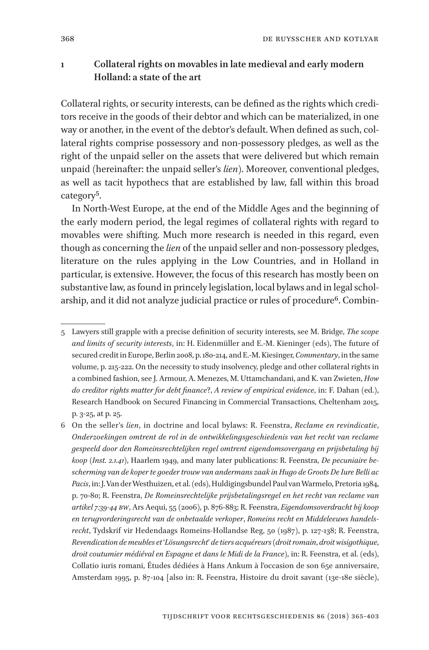# **1 Collateral rights on movables in late medieval and early modern Holland: a state of the art**

Collateral rights, or security interests, can be defined as the rights which creditors receive in the goods of their debtor and which can be materialized, in one way or another, in the event of the debtor's default. When defined as such, collateral rights comprise possessory and non-possessory pledges, as well as the right of the unpaid seller on the assets that were delivered but which remain unpaid (hereinafter: the unpaid seller's *lien*). Moreover, conventional pledges, as well as tacit hypothecs that are established by law, fall within this broad category5.

In North-West Europe, at the end of the Middle Ages and the beginning of the early modern period, the legal regimes of collateral rights with regard to movables were shifting. Much more research is needed in this regard, even though as concerning the *lien* of the unpaid seller and non-possessory pledges, literature on the rules applying in the Low Countries, and in Holland in particular, is extensive. However, the focus of this research has mostly been on substantive law, as found in princely legislation, local bylaws and in legal scholarship, and it did not analyze judicial practice or rules of procedure<sup>6</sup>. Combin-

6 On the seller's *lien*, in doctrine and local bylaws: R. Feenstra, *Reclame en revindicatie*, *Onderzoekingen omtrent de rol in de ontwikkelingsgeschiedenis van het recht van reclame gespeeld door den Romeinsrechtelijken regel omtrent eigendomsovergang en prijsbetaling bij koop* (*Inst. 2.1.41*), Haarlem 1949, and many later publications: R. Feenstra, *De pecuniaire bescherming van de koper te goeder trouw van andermans zaak in Hugo de Groots De Iure Belli ac Pacis*, in: J. Van der Westhuizen, et al. (eds), Huldigingsbundel Paul van Warmelo, Pretoria 1984, p. 70-80; R. Feenstra, *De Romeinsrechtelijke prijsbetalingsregel en het recht van reclame van artikel 7:39-44 BW*, Ars Aequi, 55 (2006), p. 876-883; R. Feenstra, *Eigendomsoverdracht bij koop en terugvorderingsrecht van de onbetaalde verkoper*, *Romeins recht en Middeleeuws handelsrecht*, Tydskrif vir Hedendaags Romeins-Hollandse Reg, 50 (1987), p. 127-138; R. Feenstra, *Revendication de meubles et* '*Lösungsrecht*' *de tiers acquéreurs* (*droit romain*, *droit wisigothique*, *droit coutumier médiéval en Espagne et dans le Midi de la France*), in: R. Feenstra, et al. (eds), Collatio iuris romani, Études dédiées à Hans Ankum à l'occasion de son 65e anniversaire, Amsterdam 1995, p. 87-104 [also in: R. Feenstra, Histoire du droit savant (13e-18e siècle),

<sup>5</sup> Lawyers still grapple with a precise definition of security interests, see M. Bridge, *The scope and limits of security interests*, in: H. Eidenmüller and E.-M. Kieninger (eds), The future of secured credit in Europe, Berlin 2008, p. 180-214, and E.-M. Kiesinger, *Commentary*, in the same volume, p. 215-222. On the necessity to study insolvency, pledge and other collateral rights in a combined fashion, see J. Armour, A. Menezes, M. Uttamchandani, and K. van Zwieten, *How do creditor rights matter for debt finance*?, *A review of empirical evidence*, in: F. Dahan (ed.), Research Handbook on Secured Financing in Commercial Transactions, Cheltenham 2015, p. 3-25, at p. 25.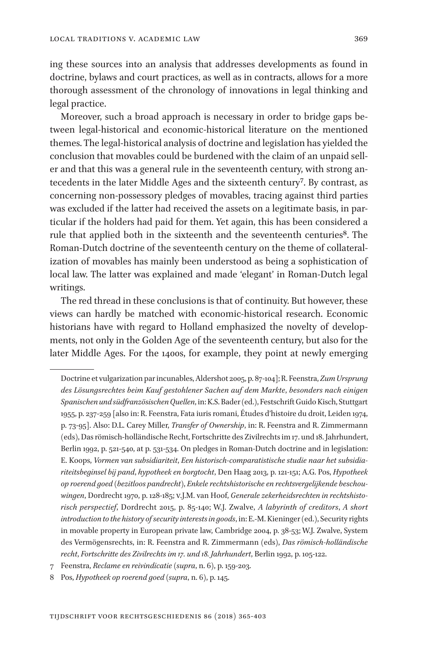ing these sources into an analysis that addresses developments as found in doctrine, bylaws and court practices, as well as in contracts, allows for a more thorough assessment of the chronology of innovations in legal thinking and legal practice.

Moreover, such a broad approach is necessary in order to bridge gaps between legal-historical and economic-historical literature on the mentioned themes. The legal-historical analysis of doctrine and legislation has yielded the conclusion that movables could be burdened with the claim of an unpaid seller and that this was a general rule in the seventeenth century, with strong antecedents in the later Middle Ages and the sixteenth century<sup>7</sup>. By contrast, as concerning non-possessory pledges of movables, tracing against third parties was excluded if the latter had received the assets on a legitimate basis, in particular if the holders had paid for them. Yet again, this has been considered a rule that applied both in the sixteenth and the seventeenth centuries<sup>8</sup>. The Roman-Dutch doctrine of the seventeenth century on the theme of collateralization of movables has mainly been understood as being a sophistication of local law. The latter was explained and made 'elegant' in Roman-Dutch legal writings.

The red thread in these conclusions is that of continuity. But however, these views can hardly be matched with economic-historical research. Economic historians have with regard to Holland emphasized the novelty of developments, not only in the Golden Age of the seventeenth century, but also for the later Middle Ages. For the 1400s, for example, they point at newly emerging

Doctrine et vulgarization par incunables, Aldershot 2005, p. 87-104]; R. Feenstra, *Zum Ursprung des Lösungsrechtes beim Kauf gestohlener Sachen auf dem Markte*, *besonders nach einigen Spanischen und südfranzösischen Quellen*, in: K.S. Bader (ed.), Festschrift Guido Kisch, Stuttgart 1955, p. 237-259 [also in: R. Feenstra, Fata iuris romani, Études d'histoire du droit, Leiden 1974, p. 73-95]. Also: D.L. Carey Miller, *Transfer of Ownership*, in: R. Feenstra and R. Zimmermann (eds), Das römisch-holländische Recht, Fortschritte des Zivilrechts im 17. und 18. Jahrhundert, Berlin 1992, p. 521-540, at p. 531-534. On pledges in Roman-Dutch doctrine and in legislation: E. Koops, *Vormen van subsidiariteit*, *Een historisch-comparatistische studie naar het subsidiariteitsbeginsel bij pand*, *hypotheek en borgtocht*, Den Haag 2013, p. 121-151; A.G. Pos, *Hypotheek op roerend goed* (*bezitloos pandrecht*), *Enkele rechtshistorische en rechtsvergelijkende beschouwingen*, Dordrecht 1970, p. 128-185; V.J.M. van Hoof, *Generale zekerheidsrechten in rechtshistorisch perspectief*, Dordrecht 2015, p. 85-140; W.J. Zwalve, *A labyrinth of creditors*, *A short introduction to the history of security interests in goods*, in: E.-M. Kieninger (ed.), Security rights in movable property in European private law, Cambridge 2004, p. 38-53; W.J. Zwalve, System des Vermögensrechts, in: R. Feenstra and R. Zimmermann (eds), *Das römisch-holländische recht*, *Fortschritte des Zivilrechts im 17. und 18. Jahrhundert*, Berlin 1992, p. 105-122.

<sup>7</sup> Feenstra, *Reclame en reivindicatie* (*supra*, n. 6), p. 159-203.

<sup>8</sup> Pos, *Hypotheek op roerend goed* (*supra*, n. 6), p. 145.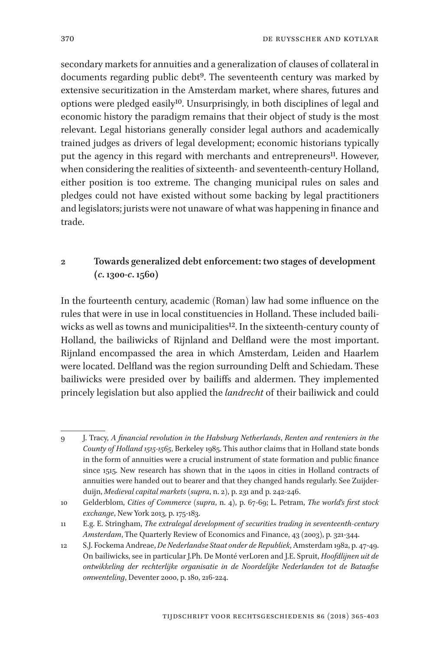secondary markets for annuities and a generalization of clauses of collateral in documents regarding public debt9. The seventeenth century was marked by extensive securitization in the Amsterdam market, where shares, futures and options were pledged easily10. Unsurprisingly, in both disciplines of legal and economic history the paradigm remains that their object of study is the most relevant. Legal historians generally consider legal authors and academically trained judges as drivers of legal development; economic historians typically put the agency in this regard with merchants and entrepreneurs<sup>11</sup>. However, when considering the realities of sixteenth- and seventeenth-century Holland, either position is too extreme. The changing municipal rules on sales and pledges could not have existed without some backing by legal practitioners and legislators; jurists were not unaware of what was happening in finance and trade.

# **2 Towards generalized debt enforcement: two stages of development (***c***. 1300-***c***. 1560)**

In the fourteenth century, academic (Roman) law had some influence on the rules that were in use in local constituencies in Holland. These included bailiwicks as well as towns and municipalities<sup>12</sup>. In the sixteenth-century county of Holland, the bailiwicks of Rijnland and Delfland were the most important. Rijnland encompassed the area in which Amsterdam, Leiden and Haarlem were located. Delfland was the region surrounding Delft and Schiedam. These bailiwicks were presided over by bailiffs and aldermen. They implemented princely legislation but also applied the *landrecht* of their bailiwick and could

<sup>9</sup> J. Tracy, *A financial revolution in the Habsburg Netherlands*, *Renten and renteniers in the County of Holland 1515-1565*, Berkeley 1985. This author claims that in Holland state bonds in the form of annuities were a crucial instrument of state formation and public finance since 1515. New research has shown that in the 1400s in cities in Holland contracts of annuities were handed out to bearer and that they changed hands regularly. See Zuijderduijn, *Medieval capital markets* (*supra*, n. 2), p. 231 and p. 242-246.

<sup>10</sup> Gelderblom, *Cities of Commerce* (*supra*, n. 4), p. 67-69; L. Petram, *The world's first stock exchange*, New York 2013, p. 175-183.

<sup>11</sup> E.g. E. Stringham, *The extralegal development of securities trading in seventeenth-century Amsterdam*, The Quarterly Review of Economics and Finance, 43 (2003), p. 321-344.

<sup>12</sup> S.J. Fockema Andreae, *De Nederlandse Staat onder de Republiek*, Amsterdam 1982, p. 47-49. On bailiwicks, see in particular J.Ph. De Monté verLoren and J.E. Spruit, *Hoofdlijnen uit de ontwikkeling der rechterlijke organisatie in de Noordelijke Nederlanden tot de Bataafse omwenteling*, Deventer 2000, p. 180, 216-224.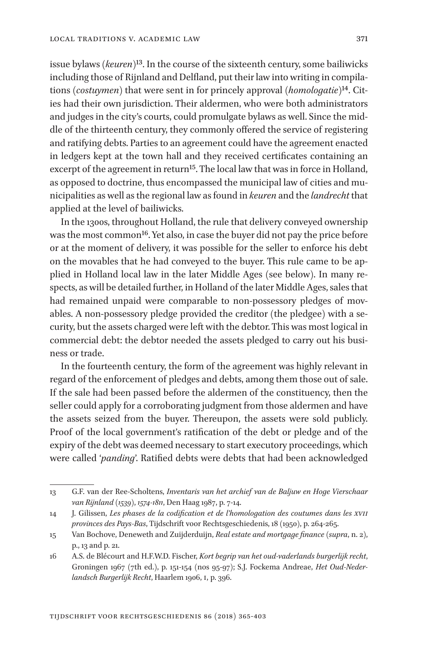issue bylaws (*keuren*)13. In the course of the sixteenth century, some bailiwicks including those of Rijnland and Delfland, put their law into writing in compilations (*costuymen*) that were sent in for princely approval (*homologatie*)14. Cities had their own jurisdiction. Their aldermen, who were both administrators and judges in the city's courts, could promulgate bylaws as well. Since the middle of the thirteenth century, they commonly offered the service of registering and ratifying debts. Parties to an agreement could have the agreement enacted in ledgers kept at the town hall and they received certificates containing an excerpt of the agreement in return<sup>15</sup>. The local law that was in force in Holland, as opposed to doctrine, thus encompassed the municipal law of cities and municipalities as well as the regional law as found in *keuren* and the *landrecht* that applied at the level of bailiwicks.

In the 1300s, throughout Holland, the rule that delivery conveyed ownership was the most common<sup>16</sup>. Yet also, in case the buyer did not pay the price before or at the moment of delivery, it was possible for the seller to enforce his debt on the movables that he had conveyed to the buyer. This rule came to be applied in Holland local law in the later Middle Ages (see below). In many respects, as will be detailed further, in Holland of the later Middle Ages, sales that had remained unpaid were comparable to non-possessory pledges of movables. A non-possessory pledge provided the creditor (the pledgee) with a security, but the assets charged were left with the debtor. This was most logical in commercial debt: the debtor needed the assets pledged to carry out his business or trade.

In the fourteenth century, the form of the agreement was highly relevant in regard of the enforcement of pledges and debts, among them those out of sale. If the sale had been passed before the aldermen of the constituency, then the seller could apply for a corroborating judgment from those aldermen and have the assets seized from the buyer. Thereupon, the assets were sold publicly. Proof of the local government's ratification of the debt or pledge and of the expiry of the debt was deemed necessary to start executory proceedings, which were called '*panding*'. Ratified debts were debts that had been acknowledged

<sup>13</sup> G.F. van der Ree-Scholtens, *Inventaris van het archief van de Baljuw en Hoge Vierschaar van Rijnland* (*1539*), *1574-1811*, Den Haag 1987, p. 7-14.

<sup>14</sup> J. Gilissen, *Les phases de la codification et de l'homologation des coutumes dans les XVII provinces des Pays-Bas*, Tijdschrift voor Rechtsgeschiedenis, 18 (1950), p. 264-265.

<sup>15</sup> Van Bochove, Deneweth and Zuijderduijn, *Real estate and mortgage finance* (*supra*, n. 2), p., 13 and p. 21.

<sup>16</sup> A.S. de Blécourt and H.F.W.D. Fischer, *Kort begrip van het oud-vaderlands burgerlijk recht*, Groningen 1967 (7th ed.), p. 151-154 (nos 95-97); S.J. Fockema Andreae, *Het Oud-Nederlandsch Burgerlijk Recht*, Haarlem 1906, I, p. 396.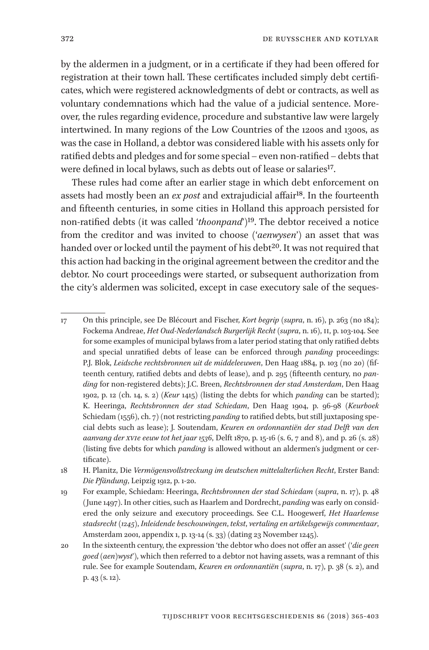by the aldermen in a judgment, or in a certificate if they had been offered for registration at their town hall. These certificates included simply debt certificates, which were registered acknowledgments of debt or contracts, as well as voluntary condemnations which had the value of a judicial sentence. Moreover, the rules regarding evidence, procedure and substantive law were largely intertwined. In many regions of the Low Countries of the 1200s and 1300s, as was the case in Holland, a debtor was considered liable with his assets only for ratified debts and pledges and for some special – even non-ratified – debts that were defined in local bylaws, such as debts out of lease or salaries<sup>17</sup>.

These rules had come after an earlier stage in which debt enforcement on assets had mostly been an *ex post* and extrajudicial affair<sup>18</sup>. In the fourteenth and fifteenth centuries, in some cities in Holland this approach persisted for non-ratified debts (it was called '*thoonpand*')19. The debtor received a notice from the creditor and was invited to choose ('*aenwysen*') an asset that was handed over or locked until the payment of his debt<sup>20</sup>. It was not required that this action had backing in the original agreement between the creditor and the debtor. No court proceedings were started, or subsequent authorization from the city's aldermen was solicited, except in case executory sale of the seques-

<sup>17</sup> On this principle, see De Blécourt and Fischer, *Kort begrip* (*supra*, n. 16), p. 263 (no 184); Fockema Andreae, *Het Oud-Nederlandsch Burgerlijk Recht* (*supra*, n. 16), II, p. 103-104. See for some examples of municipal bylaws from a later period stating that only ratified debts and special unratified debts of lease can be enforced through *panding* proceedings: P.J. Blok, *Leidsche rechtsbronnen uit de middeleeuwen*, Den Haag 1884, p. 103 (no 20) (fifteenth century, ratified debts and debts of lease), and p. 295 (fifteenth century, no *panding* for non-registered debts); J.C. Breen, *Rechtsbronnen der stad Amsterdam*, Den Haag 1902, p. 12 (ch. 14, s. 2) (*Keur* 1415) (listing the debts for which *panding* can be started); K. Heeringa, *Rechtsbronnen der stad Schiedam*, Den Haag 1904, p. 96-98 (*Keurboek* Schiedam (1556), ch. 7) (not restricting *panding* to ratified debts, but still juxtaposing special debts such as lease); J. Soutendam, *Keuren en ordonnantiën der stad Delft van den aanvang der XVIe eeuw tot het jaar 1536*, Delft 1870, p. 15-16 (s. 6, 7 and 8), and p. 26 (s. 28) (listing five debts for which *panding* is allowed without an aldermen's judgment or certificate).

<sup>18</sup> H. Planitz, Die *Vermögensvollstreckung im deutschen mittelalterlichen Recht*, Erster Band: *Die Pfändung*, Leipzig 1912, p. 1-20.

<sup>19</sup> For example, Schiedam: Heeringa, *Rechtsbronnen der stad Schiedam* (*supra*, n. 17), p. 48 (June 1497). In other cities, such as Haarlem and Dordrecht, *panding* was early on considered the only seizure and executory proceedings. See C.L. Hoogewerf, *Het Haarlemse stadsrecht* (*1245*), *Inleidende beschouwingen*, *tekst*, *vertaling en artikelsgewijs commentaar*, Amsterdam 2001, appendix 1, p. 13-14 (s. 33) (dating 23 November 1245).

<sup>20</sup> In the sixteenth century, the expression 'the debtor who does not offer an asset' ('*die geen goed (aen)wyst*'), which then referred to a debtor not having assets, was a remnant of this rule. See for example Soutendam, *Keuren en ordonnantiën* (*supra*, n. 17), p. 38 (s. 2), and p. 43 (s. 12).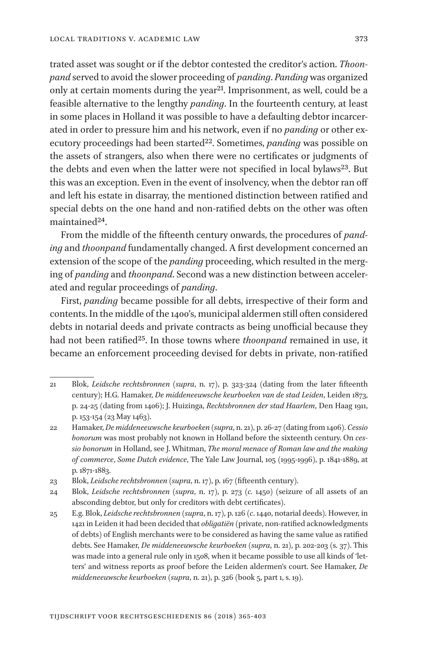trated asset was sought or if the debtor contested the creditor's action. *Thoonpand* served to avoid the slower proceeding of *panding*. *Panding* was organized only at certain moments during the year<sup>21</sup>. Imprisonment, as well, could be a feasible alternative to the lengthy *panding*. In the fourteenth century, at least in some places in Holland it was possible to have a defaulting debtor incarcerated in order to pressure him and his network, even if no *panding* or other executory proceedings had been started<sup>22</sup>. Sometimes, *panding* was possible on the assets of strangers, also when there were no certificates or judgments of the debts and even when the latter were not specified in local bylaws<sup>23</sup>. But this was an exception. Even in the event of insolvency, when the debtor ran off and left his estate in disarray, the mentioned distinction between ratified and special debts on the one hand and non-ratified debts on the other was often maintained<sup>24</sup>.

From the middle of the fifteenth century onwards, the procedures of *panding* and *thoonpand* fundamentally changed. A first development concerned an extension of the scope of the *panding* proceeding, which resulted in the merging of *panding* and *thoonpand*. Second was a new distinction between accelerated and regular proceedings of *panding*.

First, *panding* became possible for all debts, irrespective of their form and contents. In the middle of the 1400's, municipal aldermen still often considered debts in notarial deeds and private contracts as being unofficial because they had not been ratified25. In those towns where *thoonpand* remained in use, it became an enforcement proceeding devised for debts in private, non-ratified

<sup>21</sup> Blok, *Leidsche rechtsbronnen* (*supra*, n. 17), p. 323-324 (dating from the later fifteenth century); H.G. Hamaker, *De middeneeuwsche keurboeken van de stad Leiden*, Leiden 1873, p. 24-25 (dating from 1406); J. Huizinga, *Rechtsbronnen der stad Haarlem*, Den Haag 1911, p. 153-154 (23 May 1463).

<sup>22</sup> Hamaker, *De middeneeuwsche keurboeken* (*supra*, n. 21), p. 26-27 (dating from 1406). *Cessio bonorum* was most probably not known in Holland before the sixteenth century. On *cessio bonorum* in Holland, see J. Whitman, *The moral menace of Roman law and the making of commerce*, *Some Dutch evidence*, The Yale Law Journal, 105 (1995-1996), p. 1841-1889, at p. 1871-1883.

<sup>23</sup> Blok, *Leidsche rechtsbronnen* (*supra*, n. 17), p. 167 (fifteenth century).

<sup>24</sup> Blok, *Leidsche rechtsbronnen* (*supra*, n. 17), p. 273 (*c.* 1450) (seizure of all assets of an absconding debtor, but only for creditors with debt certificates).

<sup>25</sup> E.g. Blok, *Leidsche rechtsbronnen* (*supra*, n. 17), p. 126 (*c*. 1440, notarial deeds). However, in 1421 in Leiden it had been decided that *obligatiën* (private, non-ratified acknowledgments of debts) of English merchants were to be considered as having the same value as ratified debts. See Hamaker, *De middeneeuwsche keurboeken* (*supra*, n. 21), p. 202-203 (s. 37). This was made into a general rule only in 1508, when it became possible to use all kinds of 'letters' and witness reports as proof before the Leiden aldermen's court. See Hamaker, *De middeneeuwsche keurboeken* (*supra*, n. 21), p. 326 (book 5, part 1, s. 19).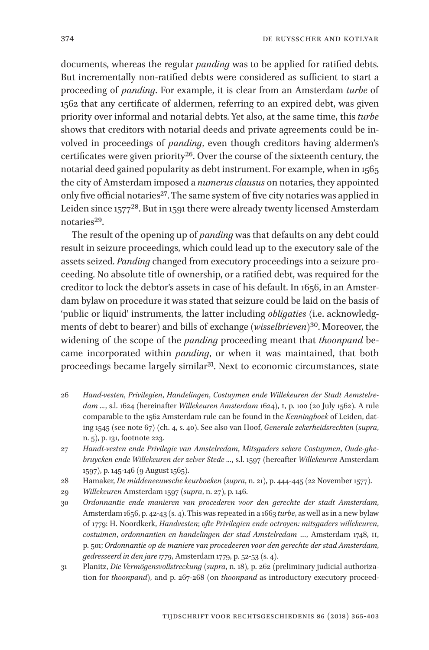documents, whereas the regular *panding* was to be applied for ratified debts. But incrementally non-ratified debts were considered as sufficient to start a proceeding of *panding*. For example, it is clear from an Amsterdam *turbe* of 1562 that any certificate of aldermen, referring to an expired debt, was given priority over informal and notarial debts. Yet also, at the same time, this *turbe*  shows that creditors with notarial deeds and private agreements could be involved in proceedings of *panding*, even though creditors having aldermen's certificates were given priority<sup>26</sup>. Over the course of the sixteenth century, the notarial deed gained popularity as debt instrument. For example, when in 1565 the city of Amsterdam imposed a *numerus clausus* on notaries, they appointed only five official notaries<sup>27</sup>. The same system of five city notaries was applied in Leiden since 157728. But in 1591 there were already twenty licensed Amsterdam notaries<sup>29</sup>.

The result of the opening up of *panding* was that defaults on any debt could result in seizure proceedings, which could lead up to the executory sale of the assets seized. *Panding* changed from executory proceedings into a seizure proceeding. No absolute title of ownership, or a ratified debt, was required for the creditor to lock the debtor's assets in case of his default. In 1656, in an Amsterdam bylaw on procedure it was stated that seizure could be laid on the basis of 'public or liquid' instruments, the latter including *obligaties* (i.e. acknowledgments of debt to bearer) and bills of exchange (*wisselbrieven*)30. Moreover, the widening of the scope of the *panding* proceeding meant that *thoonpand* became incorporated within *panding*, or when it was maintained, that both proceedings became largely similar<sup>31</sup>. Next to economic circumstances, state

<sup>26</sup> *Hand-vesten*, *Privilegien*, *Handelingen*, *Costuymen ende Willekeuren der Stadt Aemstelredam ...*, s.l. 1624 (hereinafter *Willekeuren Amsterdam* 1624), I, p. 100 (20 July 1562). A rule comparable to the 1562 Amsterdam rule can be found in the *Kenningboek* of Leiden, dating 1545 (see note 67) (ch. 4, s. 40). See also van Hoof, *Generale zekerheidsrechten* (*supra*, n. 5), p. 131, footnote 223.

<sup>27</sup> *Handt-vesten ende Privilegie van Amstelredam*, *Mitsgaders sekere Costuymen*, *Oude-ghebruycken ende Willekeuren der zelver Stede ...*, s.l. 1597 (hereafter *Willekeuren* Amsterdam 1597), p. 145-146 (9 August 1565).

<sup>28</sup> Hamaker, *De middeneeuwsche keurboeken* (*supra*, n. 21), p. 444-445 (22 November 1577).

<sup>29</sup> *Willekeuren* Amsterdam 1597 (*supra*, n. 27), p. 146.

<sup>30</sup> *Ordonnantie ende manieren van procederen voor den gerechte der stadt Amsterdam*, Amsterdam 1656, p. 42-43 (s. 4). This was repeated in a 1663 *turbe*, as well asin a new bylaw of 1779: H. Noordkerk, *Handvesten*; *ofte Privilegien ende octroyen: mitsgaders willekeuren*, *costuimen*, *ordonnantien en handelingen der stad Amstelredam* …, Amsterdam 1748, II, p. 501; *Ordonnantie op de maniere van procedeeren voor den gerechte der stad Amsterdam*, *gedresseerd in den jare 1779*, Amsterdam 1779, p. 52-53 (s. 4).

<sup>31</sup> Planitz, *Die Vermögensvollstreckung* (*supra*, n. 18), p. 262 (preliminary judicial authorization for *thoonpand*), and p. 267-268 (on *thoonpand* as introductory executory proceed-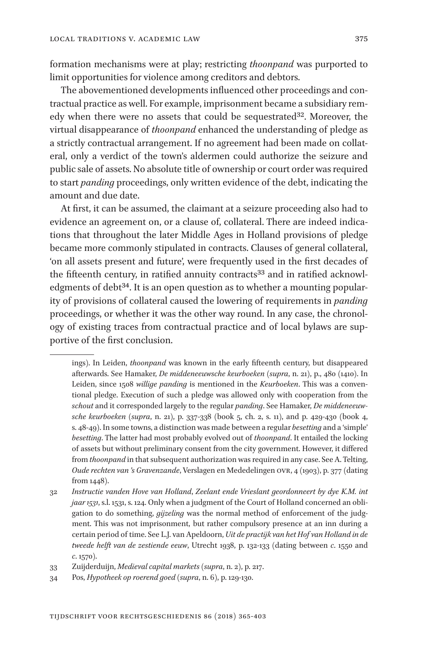formation mechanisms were at play; restricting *thoonpand* was purported to limit opportunities for violence among creditors and debtors.

The abovementioned developments influenced other proceedings and contractual practice as well. For example, imprisonment became a subsidiary remedy when there were no assets that could be sequestrated<sup>32</sup>. Moreover, the virtual disappearance of *thoonpand* enhanced the understanding of pledge as a strictly contractual arrangement. If no agreement had been made on collateral, only a verdict of the town's aldermen could authorize the seizure and public sale of assets. No absolute title of ownership or court order was required to start *panding* proceedings, only written evidence of the debt, indicating the amount and due date.

At first, it can be assumed, the claimant at a seizure proceeding also had to evidence an agreement on, or a clause of, collateral. There are indeed indications that throughout the later Middle Ages in Holland provisions of pledge became more commonly stipulated in contracts. Clauses of general collateral, 'on all assets present and future', were frequently used in the first decades of the fifteenth century, in ratified annuity contracts<sup>33</sup> and in ratified acknowledgments of debt<sup>34</sup>. It is an open question as to whether a mounting popularity of provisions of collateral caused the lowering of requirements in *panding*  proceedings, or whether it was the other way round. In any case, the chronology of existing traces from contractual practice and of local bylaws are supportive of the first conclusion.

ings). In Leiden, *thoonpand* was known in the early fifteenth century, but disappeared afterwards. See Hamaker, *De middeneeuwsche keurboeken* (*supra*, n. 21), p., 480 (1410). In Leiden, since 1508 *willige panding* is mentioned in the *Keurboeken*. This was a conventional pledge. Execution of such a pledge was allowed only with cooperation from the *schout* and it corresponded largely to the regular *panding*. See Hamaker, *De middeneeuwsche keurboeken* (*supra*, n. 21), p. 337-338 (book 5, ch. 2, s. 11), and p. 429-430 (book 4, s. 48-49). In some towns, a distinction was made between a regular *besetting* and a 'simple' *besetting*. The latter had most probably evolved out of *thoonpand*. It entailed the locking of assets but without preliminary consent from the city government. However, it differed from *thoonpand* in that subsequent authorization was required in any case. See A. Telting, *Oude rechten van 's Gravenzande*, Verslagen en Mededelingen OVR, 4 (1903), p. 377 (dating from 1448).

<sup>32</sup> *Instructie vanden Hove van Holland*, *Zeelant ende Vrieslant geordonneert by dye K.M. int jaar 1531*, s.l. 1531, s. 124. Only when a judgment of the Court of Holland concerned an obligation to do something, *gijzeling* was the normal method of enforcement of the judgment. This was not imprisonment, but rather compulsory presence at an inn during a certain period of time. See L.J. van Apeldoorn, *Uit de practijk van het Hof van Holland in de tweede helft van de zestiende eeuw*, Utrecht 1938, p. 132-133 (dating between *c*. 1550 and *c*. 1570).

<sup>33</sup> Zuijderduijn, *Medieval capital markets* (*supra*, n. 2), p. 217.

<sup>34</sup> Pos, *Hypotheek op roerend goed* (*supra*, n. 6), p. 129-130.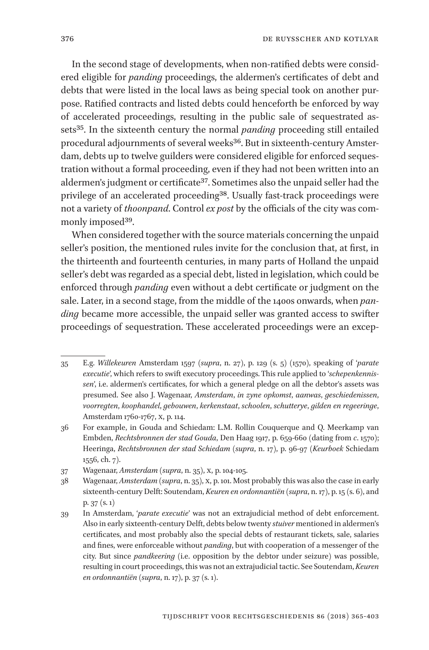In the second stage of developments, when non-ratified debts were considered eligible for *panding* proceedings, the aldermen's certificates of debt and debts that were listed in the local laws as being special took on another purpose. Ratified contracts and listed debts could henceforth be enforced by way of accelerated proceedings, resulting in the public sale of sequestrated assets35. In the sixteenth century the normal *panding* proceeding still entailed procedural adjournments of several weeks<sup>36</sup>. But in sixteenth-century Amsterdam, debts up to twelve guilders were considered eligible for enforced sequestration without a formal proceeding, even if they had not been written into an aldermen's judgment or certificate<sup>37</sup>. Sometimes also the unpaid seller had the privilege of an accelerated proceeding<sup>38</sup>. Usually fast-track proceedings were not a variety of *thoonpand*. Control *ex post* by the officials of the city was commonly imposed<sup>39</sup>.

When considered together with the source materials concerning the unpaid seller's position, the mentioned rules invite for the conclusion that, at first, in the thirteenth and fourteenth centuries, in many parts of Holland the unpaid seller's debt was regarded as a special debt, listed in legislation, which could be enforced through *panding* even without a debt certificate or judgment on the sale. Later, in a second stage, from the middle of the 1400s onwards, when *panding* became more accessible, the unpaid seller was granted access to swifter proceedings of sequestration. These accelerated proceedings were an excep-

<sup>35</sup> E.g. *Willekeuren* Amsterdam 1597 (*supra*, n. 27), p. 129 (s. 5) (1570), speaking of '*parate executie*', which refers to swift executory proceedings. This rule applied to '*schepenkennissen*', i.e. aldermen's certificates, for which a general pledge on all the debtor's assets was presumed. See also J. Wagenaar, *Amsterdam*, *in zyne opkomst*, *aanwas*, *geschiedenissen*, *voorregten*, *koophandel*, *gebouwen*, *kerkenstaat*, *schoolen*, *schutterye*, *gilden en regeeringe*, Amsterdam 1760-1767, X, p. 114.

<sup>36</sup> For example, in Gouda and Schiedam: L.M. Rollin Couquerque and Q. Meerkamp van Embden, *Rechtsbronnen der stad Gouda*, Den Haag 1917, p. 659-660 (dating from *c*. 1570); Heeringa, *Rechtsbronnen der stad Schiedam* (*supra*, n. 17), p. 96-97 (*Keurboek* Schiedam 1556, ch. 7).

<sup>37</sup> Wagenaar, *Amsterdam* (*supra*, n. 35), X, p. 104-105.

<sup>38</sup> Wagenaar, *Amsterdam* (*supra*, n. 35), X, p. 101. Most probably this was also the case in early sixteenth-century Delft: Soutendam, *Keuren en ordonnantiën* (*supra*, n. 17), p. 15 (s. 6), and p. 37 (s. 1)

<sup>39</sup> In Amsterdam, '*parate executie*' was not an extrajudicial method of debt enforcement. Also in early sixteenth-century Delft, debts below twenty *stuiver* mentioned in aldermen's certificates, and most probably also the special debts of restaurant tickets, sale, salaries and fines, were enforceable without *panding*, but with cooperation of a messenger of the city. But since *pandkeering* (i.e. opposition by the debtor under seizure) was possible, resulting in court proceedings, this was not an extrajudicial tactic. See Soutendam, *Keuren en ordonnantiën* (*supra*, n. 17), p. 37 (s. 1).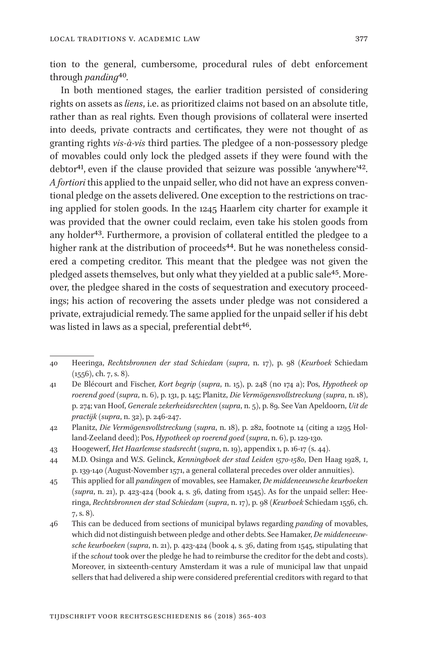tion to the general, cumbersome, procedural rules of debt enforcement through *panding*40*.*

In both mentioned stages, the earlier tradition persisted of considering rights on assets as *liens*, i.e. as prioritized claims not based on an absolute title, rather than as real rights. Even though provisions of collateral were inserted into deeds, private contracts and certificates, they were not thought of as granting rights *vis-à-vis* third parties. The pledgee of a non-possessory pledge of movables could only lock the pledged assets if they were found with the debtor<sup>41</sup>, even if the clause provided that seizure was possible 'anywhere'<sup>42</sup>. *A fortiori* this applied to the unpaid seller, who did not have an express conventional pledge on the assets delivered. One exception to the restrictions on tracing applied for stolen goods. In the 1245 Haarlem city charter for example it was provided that the owner could reclaim, even take his stolen goods from any holder<sup>43</sup>. Furthermore, a provision of collateral entitled the pledgee to a higher rank at the distribution of proceeds<sup>44</sup>. But he was nonetheless considered a competing creditor. This meant that the pledgee was not given the pledged assets themselves, but only what they yielded at a public sale<sup>45</sup>. Moreover, the pledgee shared in the costs of sequestration and executory proceedings; his action of recovering the assets under pledge was not considered a private, extrajudicial remedy. The same applied for the unpaid seller if his debt was listed in laws as a special, preferential debt<sup>46</sup>.

43 Hoogewerf, *Het Haarlemse stadsrecht* (*supra*, n. 19), appendix 1, p. 16-17 (s. 44).

<sup>40</sup> Heeringa, *Rechtsbronnen der stad Schiedam* (*supra*, n. 17), p. 98 (*Keurboek* Schiedam (1556), ch. 7, s. 8).

<sup>41</sup> De Blécourt and Fischer, *Kort begrip* (*supra*, n. 15), p. 248 (no 174 a); Pos, *Hypotheek op roerend goed* (*supra*, n. 6), p. 131, p. 145; Planitz, *Die Vermögensvollstreckung* (*supra*, n. 18), p. 274; van Hoof, *Generale zekerheidsrechten* (*supra*, n. 5), p. 89. See Van Apeldoorn, *Uit de practijk* (*supra*, n. 32), p. 246-247.

<sup>42</sup> Planitz, *Die Vermögensvollstreckung* (*supra*, n. 18), p. 282, footnote 14 (citing a 1295 Holland-Zeeland deed); Pos, *Hypotheek op roerend goed* (*supra*, n. 6), p. 129-130.

<sup>44</sup> M.D. Osinga and W.S. Gelinck, *Kenningboek der stad Leiden 1570-1580*, Den Haag 1928, I, p. 139-140 (August-November 1571, a general collateral precedes over older annuities).

<sup>45</sup> This applied for all *pandingen* of movables, see Hamaker, *De middeneeuwsche keurboeken*  (*supra*, n. 21), p. 423-424 (book 4, s. 36, dating from 1545). As for the unpaid seller: Heeringa, *Rechtsbronnen der stad Schiedam* (*supra*, n. 17), p. 98 (*Keurboek* Schiedam 1556, ch. 7, s. 8).

<sup>46</sup> This can be deduced from sections of municipal bylaws regarding *panding* of movables, which did not distinguish between pledge and other debts. See Hamaker, *De middeneeuwsche keurboeken* (*supra*, n. 21), p. 423-424 (book 4, s. 36, dating from 1545, stipulating that if the *schout* took over the pledge he had to reimburse the creditor for the debt and costs). Moreover, in sixteenth-century Amsterdam it was a rule of municipal law that unpaid sellers that had delivered a ship were considered preferential creditors with regard to that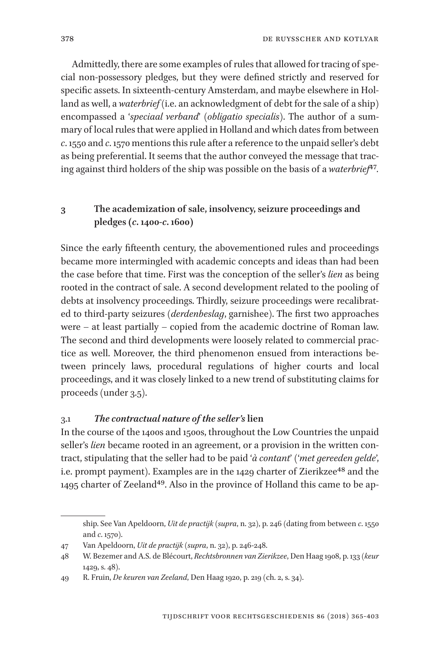Admittedly, there are some examples of rules that allowed for tracing of special non-possessory pledges, but they were defined strictly and reserved for specific assets. In sixteenth-century Amsterdam, and maybe elsewhere in Holland as well, a *waterbrief* (i.e. an acknowledgment of debt for the sale of a ship) encompassed a '*speciaal verband*' (*obligatio specialis*). The author of a summary of local rules that were applied in Holland and which dates from between *c*. 1550 and *c*. 1570 mentions this rule after a reference to the unpaid seller's debt as being preferential. It seems that the author conveyed the message that tracing against third holders of the ship was possible on the basis of a *waterbrief*47*.*

# **3 The academization of sale, insolvency, seizure proceedings and pledges (***c***. 1400-***c***. 1600)**

Since the early fifteenth century, the abovementioned rules and proceedings became more intermingled with academic concepts and ideas than had been the case before that time. First was the conception of the seller's *lien* as being rooted in the contract of sale. A second development related to the pooling of debts at insolvency proceedings. Thirdly, seizure proceedings were recalibrated to third-party seizures (*derdenbeslag*, garnishee). The first two approaches were – at least partially – copied from the academic doctrine of Roman law. The second and third developments were loosely related to commercial practice as well. Moreover, the third phenomenon ensued from interactions between princely laws, procedural regulations of higher courts and local proceedings, and it was closely linked to a new trend of substituting claims for proceeds (under 3.5).

#### 3.1 *The contractual nature of the seller's***lien**

In the course of the 1400s and 1500s, throughout the Low Countries the unpaid seller's *lien* became rooted in an agreement, or a provision in the written contract, stipulating that the seller had to be paid '*à contant*' ('*met gereeden gelde*', i.e. prompt payment). Examples are in the 1429 charter of Zierikzee<sup>48</sup> and the 1495 charter of Zeeland49. Also in the province of Holland this came to be ap-

ship. See Van Apeldoorn, *Uit de practijk* (*supra*, n. 32), p. 246 (dating from between *c*. 1550 and *c*. 1570).

<sup>47</sup> Van Apeldoorn, *Uit de practijk* (*supra*, n. 32), p. 246-248.

<sup>48</sup> W. Bezemer and A.S. de Blécourt, *Rechtsbronnen van Zierikzee*, Den Haag 1908, p. 133 (*keur*  1429, s. 48).

<sup>49</sup> R. Fruin, *De keuren van Zeeland*, Den Haag 1920, p. 219 (ch. 2, s. 34).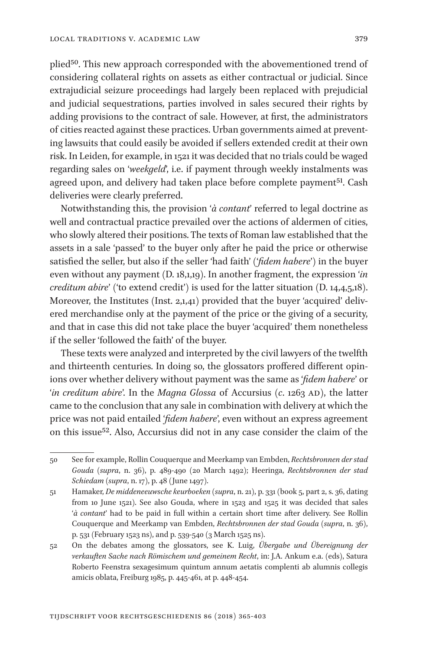plied<sup>50</sup>. This new approach corresponded with the abovementioned trend of considering collateral rights on assets as either contractual or judicial. Since extrajudicial seizure proceedings had largely been replaced with prejudicial and judicial sequestrations, parties involved in sales secured their rights by adding provisions to the contract of sale. However, at first, the administrators of cities reacted against these practices. Urban governments aimed at preventing lawsuits that could easily be avoided if sellers extended credit at their own risk. In Leiden, for example, in 1521 it was decided that no trials could be waged regarding sales on '*weekgeld*', i.e. if payment through weekly instalments was agreed upon, and delivery had taken place before complete payment<sup>51</sup>. Cash deliveries were clearly preferred.

Notwithstanding this, the provision '*à contant*' referred to legal doctrine as well and contractual practice prevailed over the actions of aldermen of cities, who slowly altered their positions. The texts of Roman law established that the assets in a sale 'passed' to the buyer only after he paid the price or otherwise satisfied the seller, but also if the seller 'had faith' ('*fidem habere*') in the buyer even without any payment (D. 18,1,19). In another fragment, the expression '*in creditum abire*' ('to extend credit') is used for the latter situation (D. 14,4,5,18). Moreover, the Institutes (Inst. 2,1,41) provided that the buyer 'acquired' delivered merchandise only at the payment of the price or the giving of a security, and that in case this did not take place the buyer 'acquired' them nonetheless if the seller 'followed the faith' of the buyer.

These texts were analyzed and interpreted by the civil lawyers of the twelfth and thirteenth centuries. In doing so, the glossators proffered different opinions over whether delivery without payment was the same as '*fidem habere*' or '*in creditum abire*'. In the *Magna Glossa* of Accursius (*c*. 1263 AD), the latter came to the conclusion that any sale in combination with delivery at which the price was not paid entailed '*fidem habere*', even without an express agreement on this issue52. Also, Accursius did not in any case consider the claim of the

<sup>50</sup> See for example, Rollin Couquerque and Meerkamp van Embden, *Rechtsbronnen der stad Gouda* (*supra*, n. 36), p. 489-490 (20 March 1492); Heeringa, *Rechtsbronnen der stad Schiedam* (*supra*, n. 17), p. 48 (June 1497).

<sup>51</sup> Hamaker, *De middeneeuwsche keurboeken* (*supra*, n. 21), p. 331 (book 5, part 2, s. 36, dating from 10 June 1521). See also Gouda, where in 1523 and 1525 it was decided that sales '*à contant*' had to be paid in full within a certain short time after delivery. See Rollin Couquerque and Meerkamp van Embden, *Rechtsbronnen der stad Gouda* (*supra*, n. 36), p. 531 (February 1523 ns), and p. 539-540 (3 March 1525 ns).

<sup>52</sup> On the debates among the glossators, see K. Luig, *Übergabe und Übereignung der verkauften Sache nach Römischem und gemeinem Recht*, in: J.A. Ankum e.a. (eds), Satura Roberto Feenstra sexagesimum quintum annum aetatis complenti ab alumnis collegis amicis oblata, Freiburg 1985, p. 445-461, at p. 448-454.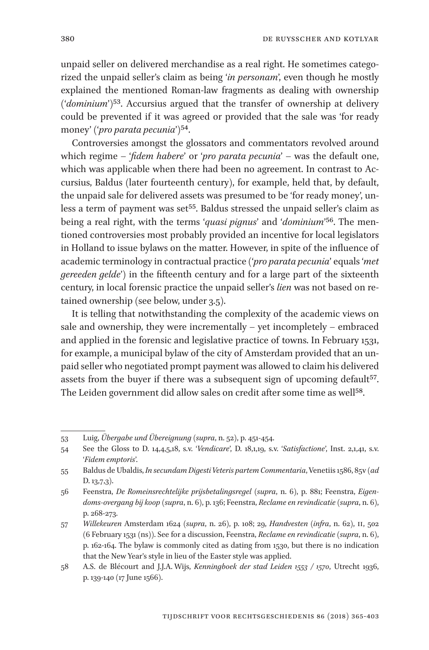unpaid seller on delivered merchandise as a real right. He sometimes categorized the unpaid seller's claim as being '*in personam*', even though he mostly explained the mentioned Roman-law fragments as dealing with ownership ('*dominium*')53. Accursius argued that the transfer of ownership at delivery could be prevented if it was agreed or provided that the sale was 'for ready money' ('*pro parata pecunia*')54.

Controversies amongst the glossators and commentators revolved around which regime – '*fidem habere*' or '*pro parata pecunia*' – was the default one, which was applicable when there had been no agreement. In contrast to Accursius, Baldus (later fourteenth century), for example, held that, by default, the unpaid sale for delivered assets was presumed to be 'for ready money', unless a term of payment was set<sup>55</sup>. Baldus stressed the unpaid seller's claim as being a real right, with the terms '*quasi pignus*' and '*dominium*'56. The mentioned controversies most probably provided an incentive for local legislators in Holland to issue bylaws on the matter. However, in spite of the influence of academic terminology in contractual practice ('*pro parata pecunia*' equals '*met gereeden gelde*') in the fifteenth century and for a large part of the sixteenth century, in local forensic practice the unpaid seller's *lien* was not based on retained ownership (see below, under 3.5).

It is telling that notwithstanding the complexity of the academic views on sale and ownership, they were incrementally – yet incompletely – embraced and applied in the forensic and legislative practice of towns. In February 1531, for example, a municipal bylaw of the city of Amsterdam provided that an unpaid seller who negotiated prompt payment was allowed to claim his delivered assets from the buyer if there was a subsequent sign of upcoming default<sup>57</sup>. The Leiden government did allow sales on credit after some time as well<sup>58</sup>.

<sup>53</sup> Luig, *Übergabe und Übereignung* (*supra*, n. 52), p. 451-454.

<sup>54</sup> See the Gloss to D. 14,4,5,18, s.v. '*Vendicare*', D. 18,1,19, s.v. '*Satisfactione*', Inst. 2,1,41, s.v. '*Fidem emptoris*'.

<sup>55</sup> Baldus de Ubaldis, *In secundam Digesti Veteris partem Commentaria*, Venetiis 1586, 85v (*ad* D. 13,7,3).

<sup>56</sup> Feenstra, *De Romeinsrechtelijke prijsbetalingsregel* (*supra*, n. 6), p. 881; Feenstra, *Eigendoms-overgang bij koop* (*supra*, n. 6), p. 136; Feenstra, *Reclame en revindicatie* (*supra*, n. 6), p. 268-273.

<sup>57</sup> *Willekeuren* Amsterdam 1624 (*supra*, n. 26), p. 108; 29, *Handvesten* (*infra*, n. 62), II, 502 (6 February 1531 (ns)). See for a discussion, Feenstra, *Reclame en revindicatie* (*supra*, n. 6), p. 162-164. The bylaw is commonly cited as dating from 1530, but there is no indication that the New Year's style in lieu of the Easter style was applied.

<sup>58</sup> A.S. de Blécourt and J.J.A. Wijs, *Kenningboek der stad Leiden 1553 / 1570*, Utrecht 1936, p. 139-140 (17 June 1566).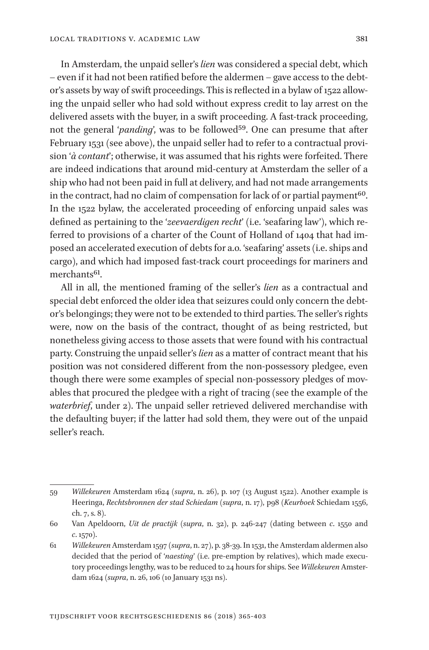In Amsterdam, the unpaid seller's *lien* was considered a special debt, which – even if it had not been ratified before the aldermen – gave access to the debtor's assets by way of swift proceedings. This is reflected in a bylaw of 1522 allowing the unpaid seller who had sold without express credit to lay arrest on the delivered assets with the buyer, in a swift proceeding. A fast-track proceeding, not the general '*panding*', was to be followed<sup>59</sup>. One can presume that after February 1531 (see above), the unpaid seller had to refer to a contractual provision '*à contant*'; otherwise, it was assumed that his rights were forfeited. There are indeed indications that around mid-century at Amsterdam the seller of a ship who had not been paid in full at delivery, and had not made arrangements in the contract, had no claim of compensation for lack of or partial payment $60$ . In the 1522 bylaw, the accelerated proceeding of enforcing unpaid sales was defined as pertaining to the '*zeevaerdigen recht*' (i.e. 'seafaring law'), which referred to provisions of a charter of the Count of Holland of 1404 that had imposed an accelerated execution of debts for a.o. 'seafaring' assets (i.e. ships and cargo), and which had imposed fast-track court proceedings for mariners and merchants<sup>61</sup>.

All in all, the mentioned framing of the seller's *lien* as a contractual and special debt enforced the older idea that seizures could only concern the debtor's belongings; they were not to be extended to third parties. The seller's rights were, now on the basis of the contract, thought of as being restricted, but nonetheless giving access to those assets that were found with his contractual party. Construing the unpaid seller's *lien* as a matter of contract meant that his position was not considered different from the non-possessory pledgee, even though there were some examples of special non-possessory pledges of movables that procured the pledgee with a right of tracing (see the example of the *waterbrief*, under 2). The unpaid seller retrieved delivered merchandise with the defaulting buyer; if the latter had sold them, they were out of the unpaid seller's reach.

<sup>59</sup> *Willekeuren* Amsterdam 1624 (*supra*, n. 26), p. 107 (13 August 1522). Another example is Heeringa, *Rechtsbronnen der stad Schiedam* (*supra*, n. 17), p98 (*Keurboek* Schiedam 1556, ch. 7, s. 8).

<sup>60</sup> Van Apeldoorn, *Uit de practijk* (*supra*, n. 32), p. 246-247 (dating between *c*. 1550 and *c*. 1570).

<sup>61</sup> *Willekeuren* Amsterdam 1597 (*supra*, n. 27), p. 38-39. In 1531, the Amsterdam aldermen also decided that the period of '*naesting*' (i.e. pre-emption by relatives), which made executory proceedings lengthy, was to be reduced to 24 hours for ships. See *Willekeuren* Amsterdam 1624 (*supra*, n. 26, 106 (10 January 1531 ns).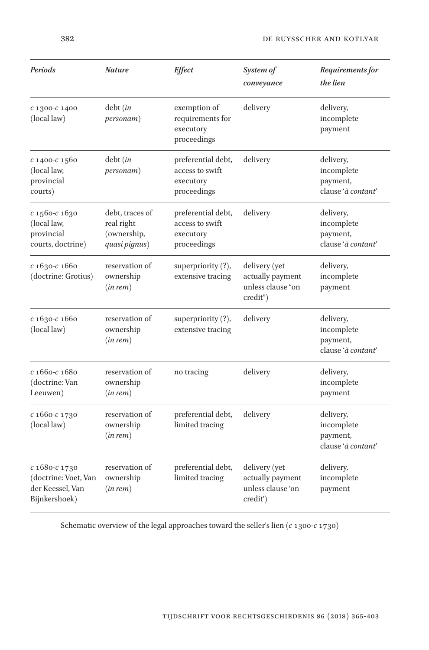| Periods                                                                    | <b>Nature</b>                                                 | <b>Effect</b>                                                     | System of<br>conveyance                                            | Requirements for<br>the lien                              |
|----------------------------------------------------------------------------|---------------------------------------------------------------|-------------------------------------------------------------------|--------------------------------------------------------------------|-----------------------------------------------------------|
| $c1300-c1400$<br>(local law)                                               | debt (in<br><i>personam</i> )                                 | exemption of<br>requirements for<br>executory<br>proceedings      | delivery                                                           | delivery,<br>incomplete<br>payment                        |
| $c$ 1400- $c$ 1560<br>(local law,<br>provincial<br>courts)                 | debt(in<br><i>personam</i> )                                  | preferential debt,<br>access to swift<br>executory<br>proceedings | delivery                                                           | delivery,<br>incomplete<br>payment,<br>clause 'à contant' |
| $c$ 1560- $c$ 1630<br>(local law,<br>provincial<br>courts, doctrine)       | debt, traces of<br>real right<br>(ownership,<br>quasi pignus) | preferential debt,<br>access to swift<br>executory<br>proceedings | delivery                                                           | delivery,<br>incomplete<br>payment,<br>clause 'à contant' |
| $c1630-c1660$<br>(doctrine: Grotius)                                       | reservation of<br>ownership<br>(in rem)                       | superpriority $(?)$ ,<br>extensive tracing                        | delivery (yet<br>actually payment<br>unless clause "on<br>credit") | delivery,<br>incomplete<br>payment                        |
| с 1630-с 1660<br>(local law)                                               | reservation of<br>ownership<br>(in rem)                       | superpriority (?),<br>extensive tracing                           | delivery                                                           | delivery,<br>incomplete<br>payment,<br>clause 'à contant' |
| $c1660-c1680$<br>(doctrine: Van<br>Leeuwen)                                | reservation of<br>ownership<br>(in rem)                       | no tracing                                                        | delivery                                                           | delivery,<br>incomplete<br>payment                        |
| $c1660-c1730$<br>(local law)                                               | reservation of<br>ownership<br>(in rem)                       | preferential debt,<br>limited tracing                             | delivery                                                           | delivery,<br>incomplete<br>payment,<br>clause 'à contant' |
| c 1680-c 1730<br>(doctrine: Voet, Van<br>der Keessel, Van<br>Bijnkershoek) | reservation of<br>ownership<br>(in rem)                       | preferential debt,<br>limited tracing                             | delivery (yet<br>actually payment<br>unless clause 'on<br>credit') | delivery,<br>incomplete<br>payment                        |

Schematic overview of the legal approaches toward the seller's lien (*c* 1300-*c* 1730)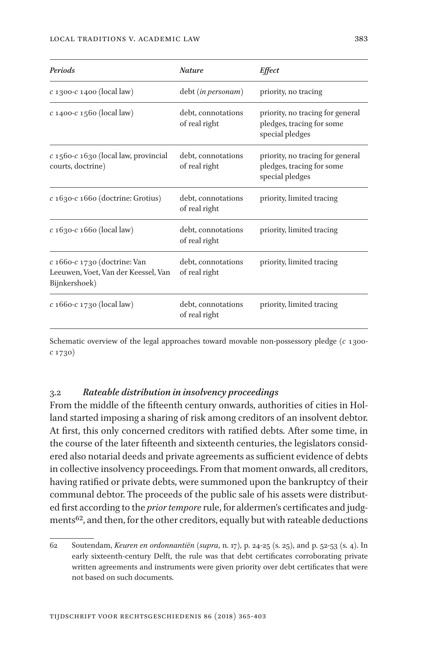| Periods                                                                                   | <b>Nature</b>                       | <i>Effect</i>                                                                    |
|-------------------------------------------------------------------------------------------|-------------------------------------|----------------------------------------------------------------------------------|
| $c$ 1300- $c$ 1400 (local law)                                                            | debt (in personam)                  | priority, no tracing                                                             |
| $c$ 1400- $c$ 1560 (local law)                                                            | debt, connotations<br>of real right | priority, no tracing for general<br>pledges, tracing for some<br>special pledges |
| $c$ 1560- $c$ 1630 (local law, provincial<br>courts, doctrine)                            | debt, connotations<br>of real right | priority, no tracing for general<br>pledges, tracing for some<br>special pledges |
| $c$ 1630- $c$ 1660 (doctrine: Grotius)                                                    | debt, connotations<br>of real right | priority, limited tracing                                                        |
| $c$ 1630- $c$ 1660 (local law)                                                            | debt, connotations<br>of real right | priority, limited tracing                                                        |
| $c$ 1660- $c$ 1730 (doctrine: Van<br>Leeuwen, Voet, Van der Keessel, Van<br>Bijnkershoek) | debt, connotations<br>of real right | priority, limited tracing                                                        |
| $c$ 1660- $c$ 1730 (local law)                                                            | debt, connotations<br>of real right | priority, limited tracing                                                        |

Schematic overview of the legal approaches toward movable non-possessory pledge (*c* 1300 *c* 1730)

#### 3.2 *Rateable distribution in insolvency proceedings*

From the middle of the fifteenth century onwards, authorities of cities in Holland started imposing a sharing of risk among creditors of an insolvent debtor. At first, this only concerned creditors with ratified debts. After some time, in the course of the later fifteenth and sixteenth centuries, the legislators considered also notarial deeds and private agreements as sufficient evidence of debts in collective insolvency proceedings. From that moment onwards, all creditors, having ratified or private debts, were summoned upon the bankruptcy of their communal debtor. The proceeds of the public sale of his assets were distributed first according to the *prior tempore* rule, for aldermen's certificates and judgments<sup>62</sup>, and then, for the other creditors, equally but with rateable deductions

<sup>62</sup> Soutendam, *Keuren en ordonnantiën* (*supra*, n. 17), p. 24-25 (s. 25), and p. 52-53 (s. 4). In early sixteenth-century Delft, the rule was that debt certificates corroborating private written agreements and instruments were given priority over debt certificates that were not based on such documents.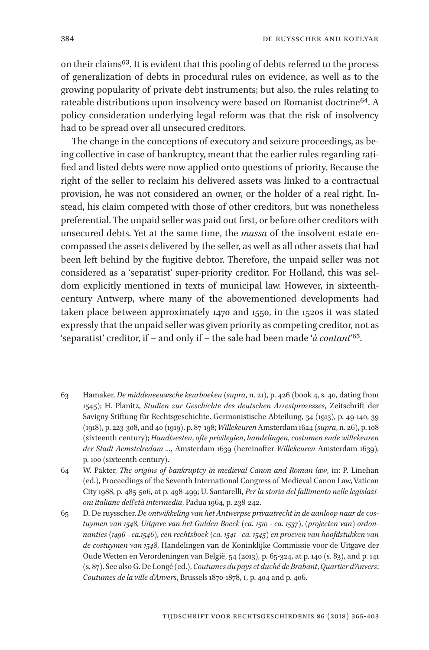on their claims63. It is evident that this pooling of debts referred to the process of generalization of debts in procedural rules on evidence, as well as to the growing popularity of private debt instruments; but also, the rules relating to rateable distributions upon insolvency were based on Romanist doctrine<sup>64</sup>. A policy consideration underlying legal reform was that the risk of insolvency had to be spread over all unsecured creditors.

The change in the conceptions of executory and seizure proceedings, as being collective in case of bankruptcy, meant that the earlier rules regarding ratified and listed debts were now applied onto questions of priority. Because the right of the seller to reclaim his delivered assets was linked to a contractual provision, he was not considered an owner, or the holder of a real right. Instead, his claim competed with those of other creditors, but was nonetheless preferential. The unpaid seller was paid out first, or before other creditors with unsecured debts. Yet at the same time, the *massa* of the insolvent estate encompassed the assets delivered by the seller, as well as all other assets that had been left behind by the fugitive debtor. Therefore, the unpaid seller was not considered as a 'separatist' super-priority creditor. For Holland, this was seldom explicitly mentioned in texts of municipal law. However, in sixteenthcentury Antwerp, where many of the abovementioned developments had taken place between approximately 1470 and 1550, in the 1520s it was stated expressly that the unpaid seller was given priority as competing creditor, not as 'separatist' creditor, if – and only if – the sale had been made '*à contant*'65.

<sup>63</sup> Hamaker, *De middeneeuwsche keurboeken* (*supra*, n. 21), p. 426 (book 4, s. 40, dating from 1545); H. Planitz, *Studien zur Geschichte des deutschen Arrestprozesses*, Zeitschrift der Savigny-Stiftung für Rechtsgeschichte. Germanistische Abteilung, 34 (1913), p. 49-140, 39 (1918), p. 223-308, and 40 (1919), p. 87-198; *Willekeuren* Amsterdam 1624 (*supra*, n. 26), p. 108 (sixteenth century); *Handtvesten*, *ofte privilegien*, *handelingen*, *costumen ende willekeuren der Stadt Aemstelredam ...*, Amsterdam 1639 (hereinafter *Willekeuren* Amsterdam 1639), p. 100 (sixteenth century).

<sup>64</sup> W. Pakter, *The origins of bankruptcy in medieval Canon and Roman law*, in: P. Linehan (ed.), Proceedings of the Seventh International Congress of Medieval Canon Law, Vatican City 1988, p. 485-506, at p. 498-499; U. Santarelli, *Per la storia del fallimento nelle legislazioni italiane dell'età intermedia*, Padua 1964, p. 238-242.

<sup>65</sup> D. De ruysscher, *De ontwikkeling van het Antwerpse privaatrecht in de aanloop naar de costuymen van 1548*, *Uitgave van het Gulden Boeck* (*ca. 1510 - ca. 1537*), (*projecten van*) *ordonnanties* (*1496 - ca.1546*), *een rechtsboek* (*ca. 1541 - ca. 1545*) *en proeven van hoofdstukken van de costuymen van 1548*, Handelingen van de Koninklijke Commissie voor de Uitgave der Oude Wetten en Verordeningen van België, 54 (2013), p. 65-324, at p. 140 (s. 83), and p. 141 (s. 87). See also G. De Longé (ed.), *Coutumes du pays et duché de Brabant*, *Quartier d'Anvers*: *Coutumes de la ville d'Anvers*, Brussels 1870-1878, I, p. 404 and p. 406.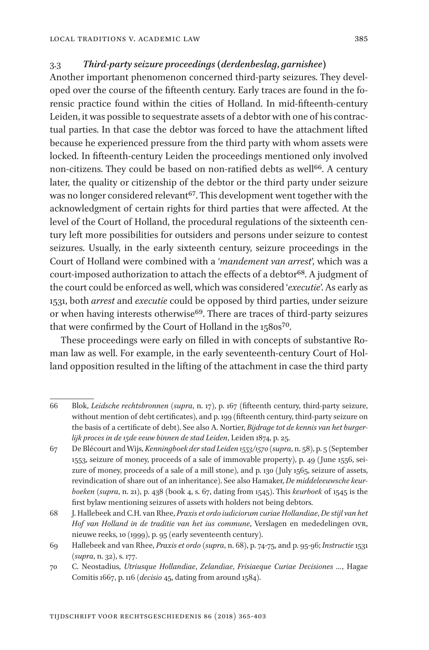#### 3.3 *Third-party seizure proceedings (derdenbeslag***,** *garnishee)*

Another important phenomenon concerned third-party seizures. They developed over the course of the fifteenth century. Early traces are found in the forensic practice found within the cities of Holland. In mid-fifteenth-century Leiden, it was possible to sequestrate assets of a debtor with one of his contractual parties. In that case the debtor was forced to have the attachment lifted because he experienced pressure from the third party with whom assets were locked. In fifteenth-century Leiden the proceedings mentioned only involved non-citizens. They could be based on non-ratified debts as well<sup>66</sup>. A century later, the quality or citizenship of the debtor or the third party under seizure was no longer considered relevant<sup>67</sup>. This development went together with the acknowledgment of certain rights for third parties that were affected. At the level of the Court of Holland, the procedural regulations of the sixteenth century left more possibilities for outsiders and persons under seizure to contest seizures. Usually, in the early sixteenth century, seizure proceedings in the Court of Holland were combined with a '*mandement van arrest*', which was a court-imposed authorization to attach the effects of a debtor<sup>68</sup>. A judgment of the court could be enforced as well, which was considered '*executie*'. As early as 1531, both *arrest* and *executie* could be opposed by third parties, under seizure or when having interests otherwise<sup>69</sup>. There are traces of third-party seizures that were confirmed by the Court of Holland in the 1580s<sup>70</sup>.

These proceedings were early on filled in with concepts of substantive Roman law as well. For example, in the early seventeenth-century Court of Holland opposition resulted in the lifting of the attachment in case the third party

<sup>66</sup> Blok, *Leidsche rechtsbronnen* (*supra*, n. 17), p. 167 (fifteenth century, third-party seizure, without mention of debt certificates), and p. 199 (fifteenth century, third-party seizure on the basis of a certificate of debt). See also A. Nortier, *Bijdrage tot de kennis van het burgerlijk proces in de 15de eeuw binnen de stad Leiden*, Leiden 1874, p. 25.

<sup>67</sup> De Blécourt and Wijs, *Kenningboek der stad Leiden 1553/1570* (*supra*, n. 58), p. 5 (September 1553, seizure of money, proceeds of a sale of immovable property), p. 49 (June 1556, seizure of money, proceeds of a sale of a mill stone), and p. 130 (July 1565, seizure of assets, revindication of share out of an inheritance). See also Hamaker, *De middeleeuwsche keurboeken* (*supra*, n. 21), p. 438 (book 4, s. 67, dating from 1545). This *keurboek* of 1545 is the first bylaw mentioning seizures of assets with holders not being debtors.

<sup>68</sup> J. Hallebeek and C.H. van Rhee, *Praxis et ordo iudiciorum curiae Hollandiae*, *De stijl van het Hof van Holland in de traditie van het ius commune*, Verslagen en mededelingen OVR, nieuwe reeks, 10 (1999), p. 95 (early seventeenth century).

<sup>69</sup> Hallebeek and van Rhee, *Praxis et ordo* (*supra*, n. 68), p. 74-75, and p. 95-96; *Instructie* 1531 (*supra*, n. 32), s. 177.

<sup>70</sup> C. Neostadius, *Utriusque Hollandiae*, *Zelandiae*, *Frisiaeque Curiae Decisiones …*, Hagae Comitis 1667, p. 116 (*decisio* 45, dating from around 1584).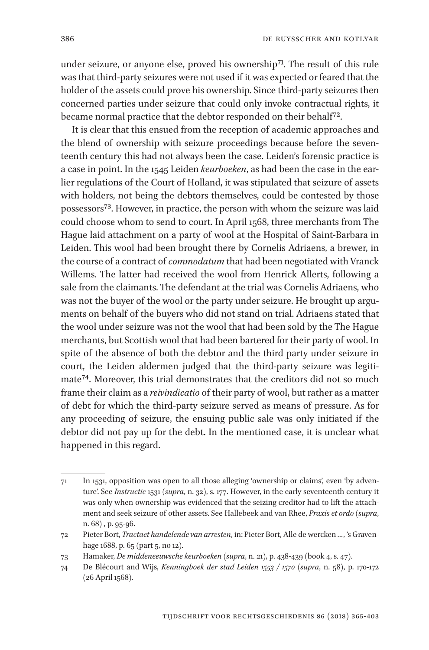under seizure, or anyone else, proved his ownership<sup>71</sup>. The result of this rule was that third-party seizures were not used if it was expected or feared that the holder of the assets could prove his ownership. Since third-party seizures then concerned parties under seizure that could only invoke contractual rights, it became normal practice that the debtor responded on their behalf<sup>72</sup>.

It is clear that this ensued from the reception of academic approaches and the blend of ownership with seizure proceedings because before the seventeenth century this had not always been the case. Leiden's forensic practice is a case in point. In the 1545 Leiden *keurboeken*, as had been the case in the earlier regulations of the Court of Holland, it was stipulated that seizure of assets with holders, not being the debtors themselves, could be contested by those possessors73. However, in practice, the person with whom the seizure was laid could choose whom to send to court. In April 1568, three merchants from The Hague laid attachment on a party of wool at the Hospital of Saint-Barbara in Leiden. This wool had been brought there by Cornelis Adriaens, a brewer, in the course of a contract of *commodatum* that had been negotiated with Vranck Willems. The latter had received the wool from Henrick Allerts, following a sale from the claimants. The defendant at the trial was Cornelis Adriaens, who was not the buyer of the wool or the party under seizure. He brought up arguments on behalf of the buyers who did not stand on trial. Adriaens stated that the wool under seizure was not the wool that had been sold by the The Hague merchants, but Scottish wool that had been bartered for their party of wool. In spite of the absence of both the debtor and the third party under seizure in court, the Leiden aldermen judged that the third-party seizure was legitimate74. Moreover, this trial demonstrates that the creditors did not so much frame their claim as a *reivindicatio* of their party of wool, but rather as a matter of debt for which the third-party seizure served as means of pressure. As for any proceeding of seizure, the ensuing public sale was only initiated if the debtor did not pay up for the debt. In the mentioned case, it is unclear what happened in this regard.

<sup>71</sup> In 1531, opposition was open to all those alleging 'ownership or claims', even 'by adventure'. See *Instructie* 1531 (*supra*, n. 32), s. 177. However, in the early seventeenth century it was only when ownership was evidenced that the seizing creditor had to lift the attachment and seek seizure of other assets. See Hallebeek and van Rhee, *Praxis et ordo* (*supra*, n. 68) , p. 95-96.

<sup>72</sup> Pieter Bort, *Tractaet handelende van arresten*, in: Pieter Bort, Alle de wercken *…*, 's Gravenhage 1688, p. 65 (part 5, no 12).

<sup>73</sup> Hamaker, *De middeneeuwsche keurboeken* (*supra*, n. 21), p. 438-439 (book 4, s. 47).

<sup>74</sup> De Blécourt and Wijs, *Kenningboek der stad Leiden 1553 / 1570* (*supra*, n. 58), p. 170-172 (26 April 1568).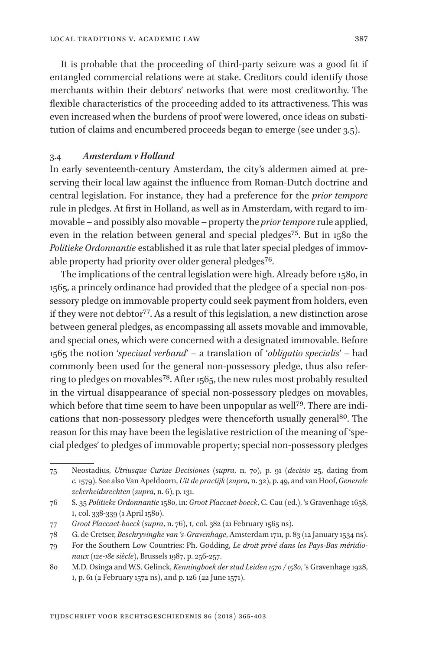It is probable that the proceeding of third-party seizure was a good fit if entangled commercial relations were at stake. Creditors could identify those merchants within their debtors' networks that were most creditworthy. The flexible characteristics of the proceeding added to its attractiveness. This was even increased when the burdens of proof were lowered, once ideas on substitution of claims and encumbered proceeds began to emerge (see under 3.5).

#### 3.4 *Amsterdam v Holland*

In early seventeenth-century Amsterdam, the city's aldermen aimed at preserving their local law against the influence from Roman-Dutch doctrine and central legislation. For instance, they had a preference for the *prior tempore*  rule in pledges. At first in Holland, as well as in Amsterdam, with regard to immovable – and possibly also movable – property the *prior tempore* rule applied, even in the relation between general and special pledges<sup>75</sup>. But in 1580 the *Politieke Ordonnantie* established it as rule that later special pledges of immovable property had priority over older general pledges<sup>76</sup>.

The implications of the central legislation were high. Already before 1580, in 1565, a princely ordinance had provided that the pledgee of a special non-possessory pledge on immovable property could seek payment from holders, even if they were not debtor<sup>77</sup>. As a result of this legislation, a new distinction arose between general pledges, as encompassing all assets movable and immovable, and special ones, which were concerned with a designated immovable. Before 1565 the notion '*speciaal verband*' – a translation of '*obligatio specialis*' – had commonly been used for the general non-possessory pledge, thus also referring to pledges on movables<sup>78</sup>. After 1565, the new rules most probably resulted in the virtual disappearance of special non-possessory pledges on movables, which before that time seem to have been unpopular as well<sup>79</sup>. There are indications that non-possessory pledges were thenceforth usually general<sup>80</sup>. The reason for this may have been the legislative restriction of the meaning of 'special pledges' to pledges of immovable property; special non-possessory pledges

<sup>75</sup> Neostadius, *Utriusque Curiae Decisiones* (*supra*, n. 70), p. 91 (*decisio* 25, dating from *c.* 1579). See also Van Apeldoorn, *Uit de practijk* (*supra*, n. 32), p. 49, and van Hoof, *Generale zekerheidsrechten* (*supra*, n. 6), p. 131.

<sup>76</sup> S. 35 *Politieke Ordonnantie* 1580, in: *Groot Placcaet-boeck*, C. Cau (ed.), 's Gravenhage 1658, I, col. 338-339 (1 April 1580).

<sup>77</sup> *Groot Placcaet-boeck* (*supra*, n. 76), I, col. 382 (21 February 1565 ns).

<sup>78</sup> G. de Cretser, *Beschryvinghe van 's-Gravenhage*, Amsterdam 1711, p. 83 (12 January 1534 ns).

<sup>79</sup> For the Southern Low Countries: Ph. Godding, *Le droit privé dans les Pays-Bas méridionaux* (*12e-18e siècle*), Brussels 1987, p. 256-257.

<sup>80</sup> M.D. Osinga and W.S. Gelinck, *Kenningboek der stad Leiden 1570 / 1580*, 's Gravenhage 1928, I, p. 61 (2 February 1572 ns), and p. 126 (22 June 1571).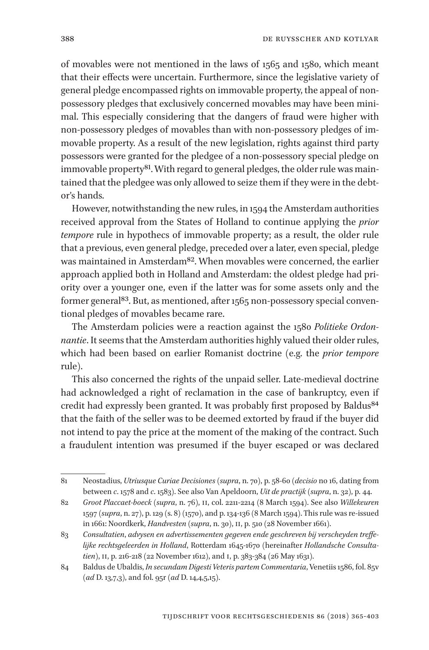of movables were not mentioned in the laws of 1565 and 1580, which meant that their effects were uncertain. Furthermore, since the legislative variety of general pledge encompassed rights on immovable property, the appeal of nonpossessory pledges that exclusively concerned movables may have been minimal. This especially considering that the dangers of fraud were higher with non-possessory pledges of movables than with non-possessory pledges of immovable property. As a result of the new legislation, rights against third party possessors were granted for the pledgee of a non-possessory special pledge on immovable property<sup>81</sup>. With regard to general pledges, the older rule was maintained that the pledgee was only allowed to seize them if they were in the debtor's hands.

However, notwithstanding the new rules, in 1594 the Amsterdam authorities received approval from the States of Holland to continue applying the *prior tempore* rule in hypothecs of immovable property; as a result, the older rule that a previous, even general pledge, preceded over a later, even special, pledge was maintained in Amsterdam<sup>82</sup>. When movables were concerned, the earlier approach applied both in Holland and Amsterdam: the oldest pledge had priority over a younger one, even if the latter was for some assets only and the former general<sup>83</sup>. But, as mentioned, after 1565 non-possessory special conventional pledges of movables became rare.

The Amsterdam policies were a reaction against the 1580 *Politieke Ordonnantie*. It seems that the Amsterdam authorities highly valued their older rules, which had been based on earlier Romanist doctrine (e.g. the *prior tempore* rule).

This also concerned the rights of the unpaid seller. Late-medieval doctrine had acknowledged a right of reclamation in the case of bankruptcy, even if credit had expressly been granted. It was probably first proposed by Baldus<sup>84</sup> that the faith of the seller was to be deemed extorted by fraud if the buyer did not intend to pay the price at the moment of the making of the contract. Such a fraudulent intention was presumed if the buyer escaped or was declared

<sup>81</sup> Neostadius, *Utriusque Curiae Decisiones* (*supra*, n. 70), p. 58-60 (*decisio* no 16, dating from between *c*. 1578 and *c*. 1583). See also Van Apeldoorn, *Uit de practijk* (*supra*, n. 32), p. 44.

<sup>82</sup> *Groot Placcaet-boeck* (*supra*, n. 76), II, col. 2211-2214 (8 March 1594). See also *Willekeuren* 1597 (*supra*, n. 27), p. 129 (s. 8) (1570), and p. 134-136 (8 March 1594). This rule was re-issued in 1661: Noordkerk, *Handvesten* (*supra*, n. 30), II, p. 510 (28 November 1661).

<sup>83</sup> *Consultatien*, *advysen en advertissementen gegeven ende geschreven bij verscheyden treffelijke rechtsgeleerden in Holland*, Rotterdam 1645-1670 (hereinafter *Hollandsche Consultatien*), II, p. 216-218 (22 November 1612), and I, p. 383-384 (26 May 1631).

<sup>84</sup> Baldus de Ubaldis, *In secundam Digesti Veteris partem Commentaria*, Venetiis 1586, fol. 85v (*ad* D. 13,7,3), and fol. 95r (*ad* D. 14,4,5,15).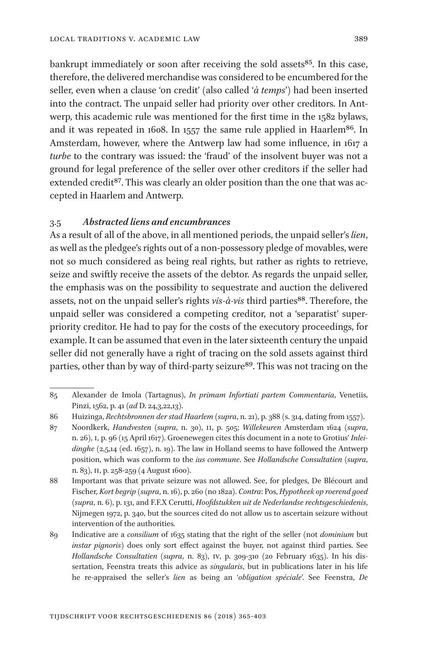bankrupt immediately or soon after receiving the sold assets<sup>85</sup>. In this case, therefore, the delivered merchandise was considered to be encumbered for the seller, even when a clause 'on credit' (also called '*à temps*') had been inserted into the contract. The unpaid seller had priority over other creditors. In Antwerp, this academic rule was mentioned for the first time in the 1582 bylaws, and it was repeated in 1608. In 1557 the same rule applied in Haarlem<sup>86</sup>. In Amsterdam, however, where the Antwerp law had some influence, in 1617 a *turbe* to the contrary was issued: the 'fraud' of the insolvent buyer was not a ground for legal preference of the seller over other creditors if the seller had extended credit<sup>87</sup>. This was clearly an older position than the one that was accepted in Haarlem and Antwerp.

#### 3.5 *Abstracted liens and encumbrances*

As a result of all of the above, in all mentioned periods, the unpaid seller's *lien*, as well as the pledgee's rights out of a non-possessory pledge of movables, were not so much considered as being real rights, but rather as rights to retrieve, seize and swiftly receive the assets of the debtor. As regards the unpaid seller, the emphasis was on the possibility to sequestrate and auction the delivered assets, not on the unpaid seller's rights *vis-à-vis* third parties<sup>88</sup>. Therefore, the unpaid seller was considered a competing creditor, not a 'separatist' superpriority creditor. He had to pay for the costs of the executory proceedings, for example. It can be assumed that even in the later sixteenth century the unpaid seller did not generally have a right of tracing on the sold assets against third parties, other than by way of third-party seizure<sup>89</sup>. This was not tracing on the

<sup>85</sup> Alexander de Imola (Tartagnus), *In primam Infortiati partem Commentaria*, Venetiis, Pinzi, 1562, p. 41 (*ad* D. 24,3,22,13).

<sup>86</sup> Huizinga, *Rechtsbronnen der stad Haarlem* (*supra*, n. 21), p. 388 (s. 314, dating from 1557).

<sup>87</sup> Noordkerk, *Handvesten* (*supra*, n. 30), II, p. 505; *Willekeuren* Amsterdam 1624 (*supra*, n. 26), I, p. 96 (15 April 1617). Groenewegen cites this document in a note to Grotius' *Inlei*dinghe (2,5,14 (ed. 1657), n. 19). The law in Holland seems to have followed the Antwerp position, which was conform to the *ius commune*. See *Hollandsche Consultatien* (*supra*, n. 83), II, p. 258-259 (4 August 1600).

<sup>88</sup> Important was that private seizure was not allowed. See, for pledges, De Blécourt and Fischer, *Kort begrip* (*supra*, n. 16), p. 260 (no 182a). *Contra*: Pos, *Hypotheek op roerend goed*  (*supra*, n. 6), p. 131, and F.F.X Cerutti, *Hoofdstukken uit de Nederlandse rechtsgeschiedenis*, Nijmegen 1972, p. 340, but the sources cited do not allow us to ascertain seizure without intervention of the authorities.

<sup>89</sup> Indicative are a *consilium* of 1635 stating that the right of the seller (not *dominium* but *instar pignoris*) does only sort effect against the buyer, not against third parties. See *Hollandsche Consultatien* (*supra*, n. 83), IV, p. 309-310 (20 February 1635). In his dis sertation, Feenstra treats this advice as *singularis*, but in publications later in his life he re-appraised the seller's *lien* as being an '*obligation spéciale*'. See Feenstra, *De*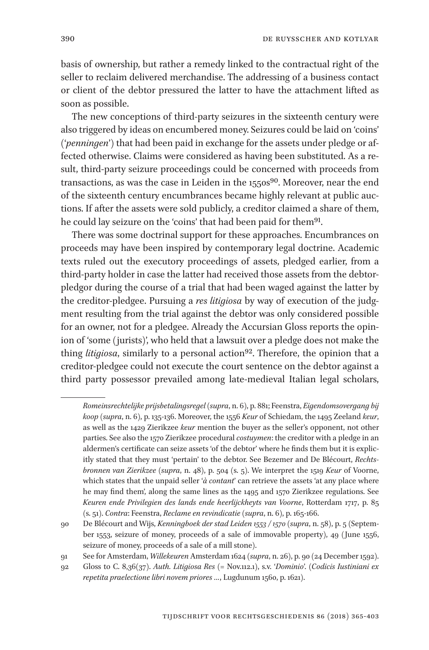basis of ownership, but rather a remedy linked to the contractual right of the seller to reclaim delivered merchandise. The addressing of a business contact or client of the debtor pressured the latter to have the attachment lifted as soon as possible.

The new conceptions of third-party seizures in the sixteenth century were also triggered by ideas on encumbered money. Seizures could be laid on 'coins' ('*penningen*') that had been paid in exchange for the assets under pledge or affected otherwise. Claims were considered as having been substituted. As a result, third-party seizure proceedings could be concerned with proceeds from transactions, as was the case in Leiden in the 1550s<sup>90</sup>. Moreover, near the end of the sixteenth century encumbrances became highly relevant at public auctions. If after the assets were sold publicly, a creditor claimed a share of them, he could lay seizure on the 'coins' that had been paid for them<sup>91</sup>.

There was some doctrinal support for these approaches. Encumbrances on proceeds may have been inspired by contemporary legal doctrine. Academic texts ruled out the executory proceedings of assets, pledged earlier, from a third-party holder in case the latter had received those assets from the debtorpledgor during the course of a trial that had been waged against the latter by the creditor-pledgee. Pursuing a *res litigiosa* by way of execution of the judgment resulting from the trial against the debtor was only considered possible for an owner, not for a pledgee. Already the Accursian Gloss reports the opinion of 'some (jurists)', who held that a lawsuit over a pledge does not make the thing *litigiosa*, similarly to a personal action<sup>92</sup>. Therefore, the opinion that a creditor-pledgee could not execute the court sentence on the debtor against a third party possessor prevailed among late-medieval Italian legal scholars,

*Romeinsrechtelijke prijsbetalingsregel* (*supra*, n. 6), p. 881; Feenstra, *Eigendomsovergang bij koop* (*supra*, n. 6), p. 135-136. Moreover, the 1556 *Keur* of Schiedam, the 1495 Zeeland *keur*, as well as the 1429 Zierikzee *keur* mention the buyer as the seller's opponent, not other parties. See also the 1570 Zierikzee procedural *costuymen*: the creditor with a pledge in an aldermen's certificate can seize assets 'of the debtor' where he finds them but it is explicitly stated that they must 'pertain' to the debtor. See Bezemer and De Blécourt, *Rechtsbronnen van Zierikzee* (*supra*, n. 48), p. 504 (s. 5). We interpret the 1519 *Keur* of Voorne, which states that the unpaid seller '*à contant*' can retrieve the assets 'at any place where he may find them', along the same lines as the 1495 and 1570 Zierikzee regulations. See *Keuren ende Privilegien des lands ende heerlijckheyts van Voorne*, Rotterdam 1717, p. 85 (s. 51). *Contra*: Feenstra, *Reclame en revindicatie* (*supra*, n. 6), p. 165-166.

<sup>90</sup> De Blécourt and Wijs, *Kenningboek der stad Leiden 1553 / 1570* (*supra*, n. 58), p. 5 (September 1553, seizure of money, proceeds of a sale of immovable property), 49 (June 1556, seizure of money, proceeds of a sale of a mill stone).

<sup>91</sup> See for Amsterdam, *Willekeuren* Amsterdam 1624 (*supra*, n. 26), p. 90 (24 December 1592).

<sup>92</sup> Gloss to C. 8,36(37). *Auth. Litigiosa Res* (= Nov.112.1), s.v. '*Dominio*'. (*Codicis Iustiniani ex repetita praelectione libri novem priores …*, Lugdunum 1560, p. 1621).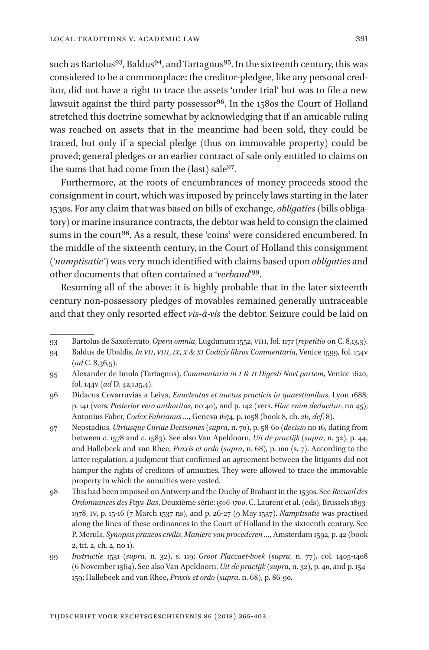such as Bartolus<sup>93</sup>, Baldus<sup>94</sup>, and Tartagnus<sup>95</sup>. In the sixteenth century, this was considered to be a commonplace: the creditor-pledgee, like any personal creditor, did not have a right to trace the assets 'under trial' but was to file a new lawsuit against the third party possessor<sup>96</sup>. In the 1580s the Court of Holland stretched this doctrine somewhat by acknowledging that if an amicable ruling was reached on assets that in the meantime had been sold, they could be traced, but only if a special pledge (thus on immovable property) could be proved; general pledges or an earlier contract of sale only entitled to claims on the sums that had come from the (last) sale<sup>97</sup>.

Furthermore, at the roots of encumbrances of money proceeds stood the consignment in court, which was imposed by princely laws starting in the later 1530s. For any claim that was based on bills of exchange, *obligaties* (bills obligatory) or marine insurance contracts, the debtor was held to consign the claimed sums in the court<sup>98</sup>. As a result, these 'coins' were considered encumbered. In the middle of the sixteenth century, in the Court of Holland this consignment ('*namptisatie*') was very much identified with claims based upon *obligaties* and other documents that often contained a '*verband*'99.

Resuming all of the above: it is highly probable that in the later sixteenth century non-possessory pledges of movables remained generally untraceable and that they only resorted effect *vis-à-vis* the debtor. Seizure could be laid on

<sup>93</sup> Bartolus de Saxoferrato, *Opera omnia*, Lugdunum 1552, VIII, fol. 117r (*repetitio* on C. 8,13,3).

<sup>94</sup> Baldus de Ubaldis, *In VII*, *VIII*, *IX*, *X & XI Codicis libros Commentaria*, Venice 1599, fol. 154v (*ad* C. 8,36,5).

<sup>95</sup> Alexander de Imola (Tartagnus), *Commentaria in I & II Digesti Novi partem*, Venice 1620, fol. 144v (*ad* D. 42,1,15,4).

<sup>96</sup> Didacus Covarruvias a Leiva, *Enucleatus et auctus practicis in quaestionibus*, Lyon 1688, p. 141 (vers. *Posterior vero authoritas*, no 40), and p. 142 (vers. *Hinc enim deducitur*, no 45); Antonius Faber, *Codex Fabrianus …*, Geneva 1674, p. 1058 (book 8, ch. 26, *def*. 8).

<sup>97</sup> Neostadius, *Utriusque Curiae Decisiones* (*supra*, n. 70), p. 58-60 (*decisio* no 16, dating from between *c*. 1578 and *c*. 1583). See also Van Apeldoorn, *Uit de practijk* (*supra*, n. 32), p. 44, and Hallebeek and van Rhee, *Praxis et ordo* (*supra*, n. 68), p. 100 (s. 7). According to the latter regulation, a judgment that confirmed an agreement between the litigants did not hamper the rights of creditors of annuities. They were allowed to trace the immovable property in which the annuities were vested.

<sup>98</sup> This had been imposed on Antwerp and the Duchy of Brabant in the 1530s. See *Recueil des Ordonnances des Pays-Bas*,Deuxième série: *1506-1700*, C. Laurent et al. (eds), Brussels 1893- 1978, IV, p. 15-16 (7 March 1537 ns), and p. 26-27 (9 May 1537). *Namptisatie* was practised along the lines of these ordinances in the Court of Holland in the sixteenth century. See P. Merula, *Synopsis praxeos civilis*, *Maniere van procederen …*, Amsterdam 1592, p. 42 (book 2, tit. 2, ch. 2, no 1).

<sup>99</sup> *Instructie* 1531 (*supra*, n. 32), s. 119; *Groot Placcaet-boek* (*supra*, n. 77), col. 1405-1408 (6 November 1564). See also Van Apeldoorn, *Uit de practijk* (*supra*, n. 32), p. 40, and p. 154- 159; Hallebeek and van Rhee, *Praxis et ordo* (*supra*, n. 68), p. 86-90.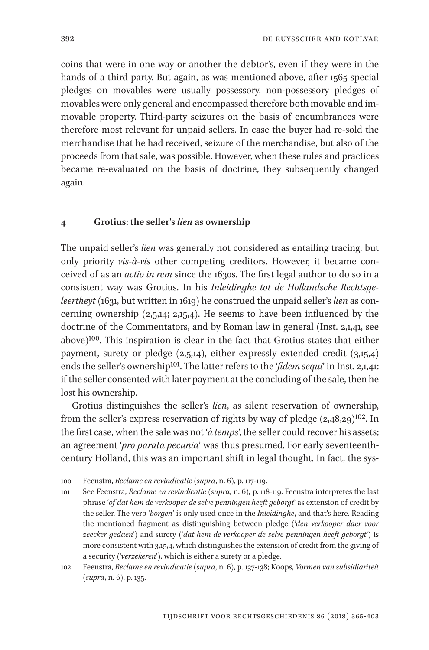coins that were in one way or another the debtor's, even if they were in the hands of a third party. But again, as was mentioned above, after 1565 special pledges on movables were usually possessory, non-possessory pledges of movables were only general and encompassed therefore both movable and immovable property. Third-party seizures on the basis of encumbrances were therefore most relevant for unpaid sellers. In case the buyer had re-sold the merchandise that he had received, seizure of the merchandise, but also of the proceeds from that sale, was possible. However, when these rules and practices became re-evaluated on the basis of doctrine, they subsequently changed again.

#### **4 Grotius: the seller's** *lien* **as ownership**

The unpaid seller's *lien* was generally not considered as entailing tracing, but only priority *vis-à-vis* other competing creditors. However, it became conceived of as an *actio in rem* since the 1630s. The first legal author to do so in a consistent way was Grotius. In his *Inleidinghe tot de Hollandsche Rechtsgeleertheyt* (1631, but written in 1619) he construed the unpaid seller's *lien* as concerning ownership  $(2,5,14; 2,15,4)$ . He seems to have been influenced by the doctrine of the Commentators, and by Roman law in general (Inst. 2,1,41, see above)100. This inspiration is clear in the fact that Grotius states that either payment, surety or pledge  $(2,5,14)$ , either expressly extended credit  $(3,15,4)$ ends the seller's ownership<sup>101</sup>. The latter refers to the '*fidem sequi*' in Inst. 2,1,41: if the seller consented with later payment at the concluding of the sale, then he lost his ownership.

Grotius distinguishes the seller's *lien*, as silent reservation of ownership, from the seller's express reservation of rights by way of pledge  $(2,48,29)^{102}$ . In the first case, when the sale was not '*à temps*', the seller could recover his assets; an agreement '*pro parata pecunia*' was thus presumed. For early seventeenthcentury Holland, this was an important shift in legal thought. In fact, the sys-

<sup>100</sup> Feenstra, *Reclame en revindicatie* (*supra*, n. 6), p. 117-119.

<sup>101</sup> See Feenstra, *Reclame en revindicatie* (*supra*, n. 6), p. 118-119. Feenstra interpretes the last phrase '*of dat hem de verkooper de selve penningen heeft geborgt*' as extension of credit by the seller. The verb '*borgen*' is only used once in the *Inleidinghe*, and that's here. Reading the mentioned fragment as distinguishing between pledge ('*den verkooper daer voor zeecker gedaen*') and surety ('*dat hem de verkooper de selve penningen heeft geborgt*') is more consistent with 3,15,4, which distinguishes the extension of credit from the giving of a security ('*verzekeren*'), which is either a surety or a pledge.

<sup>102</sup> Feenstra, *Reclame en revindicatie* (*supra*, n. 6), p. 137-138; Koops, *Vormen van subsidiariteit*  (*supra*, n. 6), p. 135.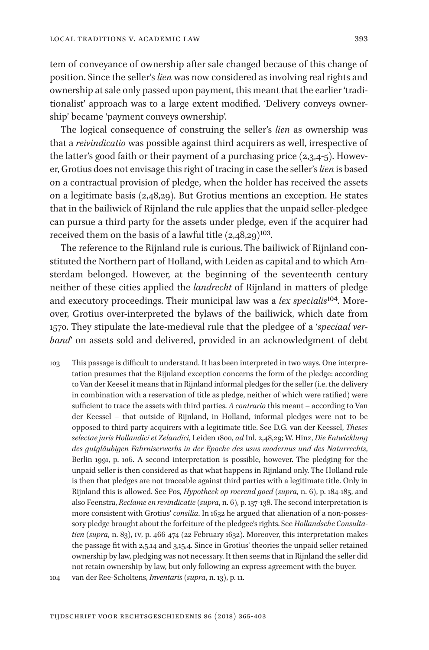tem of conveyance of ownership after sale changed because of this change of position. Since the seller's *lien* was now considered as involving real rights and ownership at sale only passed upon payment, this meant that the earlier 'traditionalist' approach was to a large extent modified. 'Delivery conveys ownership' became 'payment conveys ownership'.

The logical consequence of construing the seller's *lien* as ownership was that a *reivindicatio* was possible against third acquirers as well, irrespective of the latter's good faith or their payment of a purchasing price  $(2,3,4,5)$ . However, Grotius does not envisage this right of tracing in case the seller's *lien* is based on a contractual provision of pledge, when the holder has received the assets on a legitimate basis (2,48,29). But Grotius mentions an exception. He states that in the bailiwick of Rijnland the rule applies that the unpaid seller-pledgee can pursue a third party for the assets under pledge, even if the acquirer had received them on the basis of a lawful title  $(2,48,29)^{103}$ .

The reference to the Rijnland rule is curious. The bailiwick of Rijnland constituted the Northern part of Holland, with Leiden as capital and to which Amsterdam belonged. However, at the beginning of the seventeenth century neither of these cities applied the *landrecht* of Rijnland in matters of pledge and executory proceedings. Their municipal law was a *lex specialis*104*.* Moreover, Grotius over-interpreted the bylaws of the bailiwick, which date from 1570. They stipulate the late-medieval rule that the pledgee of a '*speciaal verband*' on assets sold and delivered, provided in an acknowledgment of debt

<sup>103</sup> This passage is difficult to understand. It has been interpreted in two ways. One interpretation presumes that the Rijnland exception concerns the form of the pledge: according to Van der Keesel it means that in Rijnland informal pledges for the seller (i.e. the delivery in combination with a reservation of title as pledge, neither of which were ratified) were sufficient to trace the assets with third parties. *A contrario* this meant – according to Van der Keessel – that outside of Rijnland, in Holland, informal pledges were not to be opposed to third party-acquirers with a legitimate title. See D.G. van der Keessel, *Theses selectae juris Hollandici et Zelandici*, Leiden 1800, *ad* Inl. 2,48,29; W. Hinz, *Die Entwicklung des gutgläubigen Fahrniserwerbs in der Epoche des usus modernus und des Naturrechts*, Berlin 1991, p. 106. A second interpretation is possible, however. The pledging for the unpaid seller is then considered as that what happens in Rijnland only. The Holland rule is then that pledges are not traceable against third parties with a legitimate title. Only in Rijnland this is allowed. See Pos, *Hypotheek op roerend goed* (*supra*, n. 6), p. 184-185, and also Feenstra, *Reclame en revindicatie* (*supra*, n. 6), p. 137-138. The second interpretation is more consistent with Grotius' *consilia*. In 1632 he argued that alienation of a non-possessory pledge brought about the forfeiture of the pledgee's rights. See *Hollandsche Consultatien* (*supra*, n. 83), IV, p. 466-474 (22 February 1632). Moreover, this interpretation makes the passage fit with 2,5,14 and 3,15,4. Since in Grotius' theories the unpaid seller retained ownership by law, pledging was not necessary. It then seems that in Rijnland the seller did not retain ownership by law, but only following an express agreement with the buyer. 104 van der Ree-Scholtens, *Inventaris* (*supra*, n. 13), p. 11.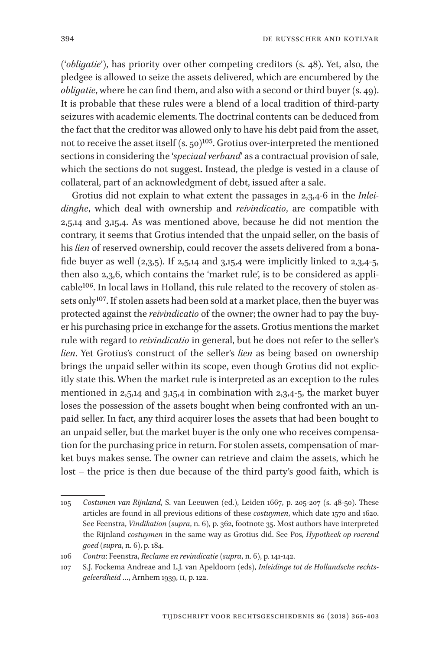('*obligatie*'), has priority over other competing creditors (s. 48). Yet, also, the pledgee is allowed to seize the assets delivered, which are encumbered by the *obligatie*, where he can find them, and also with a second or third buyer (s. 49). It is probable that these rules were a blend of a local tradition of third-party seizures with academic elements. The doctrinal contents can be deduced from the fact that the creditor was allowed only to have his debt paid from the asset, not to receive the asset itself (s. 50)<sup>105</sup>. Grotius over-interpreted the mentioned sections in considering the '*speciaal verband*' as a contractual provision of sale, which the sections do not suggest. Instead, the pledge is vested in a clause of collateral, part of an acknowledgment of debt, issued after a sale.

Grotius did not explain to what extent the passages in 2,3,4-6 in the *Inleidinghe*, which deal with ownership and *reivindicatio*, are compatible with 2,5,14 and 3,15,4. As was mentioned above, because he did not mention the contrary, it seems that Grotius intended that the unpaid seller, on the basis of his *lien* of reserved ownership, could recover the assets delivered from a bonafide buyer as well  $(2,3,5)$ . If  $2,5,14$  and  $3,15,4$  were implicitly linked to  $2,3,4.5$ , then also 2,3,6, which contains the 'market rule', is to be considered as applicable<sup>106</sup>. In local laws in Holland, this rule related to the recovery of stolen assets only<sup>107</sup>. If stolen assets had been sold at a market place, then the buyer was protected against the *reivindicatio* of the owner; the owner had to pay the buyer his purchasing price in exchange for the assets. Grotius mentions the market rule with regard to *reivindicatio* in general, but he does not refer to the seller's *lien*. Yet Grotius's construct of the seller's *lien* as being based on ownership brings the unpaid seller within its scope, even though Grotius did not explicitly state this. When the market rule is interpreted as an exception to the rules mentioned in 2,5,14 and 3,15,4 in combination with 2,3,4-5, the market buyer loses the possession of the assets bought when being confronted with an unpaid seller. In fact, any third acquirer loses the assets that had been bought to an unpaid seller, but the market buyer is the only one who receives compensation for the purchasing price in return. For stolen assets, compensation of market buys makes sense. The owner can retrieve and claim the assets, which he lost – the price is then due because of the third party's good faith, which is

<sup>105</sup> *Costumen van Rijnland*, S. van Leeuwen (ed.), Leiden 1667, p. 205-207 (s. 48-50). These articles are found in all previous editions of these *costuymen*, which date 1570 and 1620. See Feenstra, *Vindikation* (*supra*, n. 6), p. 362, footnote 35. Most authors have interpreted the Rijnland *costuymen* in the same way as Grotius did. See Pos, *Hypotheek op roerend goed* (*supra*, n. 6), p. 184.

<sup>106</sup> *Contra*: Feenstra, *Reclame en revindicatie* (*supra*, n. 6), p. 141-142.

<sup>107</sup> S.J. Fockema Andreae and L.J. van Apeldoorn (eds), *Inleidinge tot de Hollandsche rechtsgeleerdheid* …, Arnhem 1939, II, p. 122.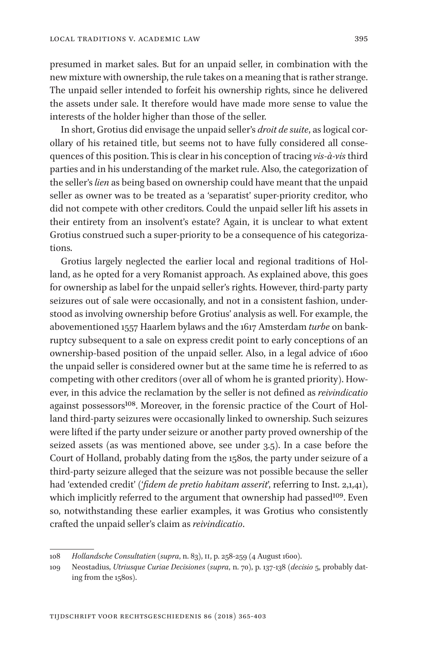presumed in market sales. But for an unpaid seller, in combination with the new mixture with ownership, the rule takes on a meaning that is rather strange. The unpaid seller intended to forfeit his ownership rights, since he delivered the assets under sale. It therefore would have made more sense to value the interests of the holder higher than those of the seller.

In short, Grotius did envisage the unpaid seller's *droit de suite*, as logical corollary of his retained title, but seems not to have fully considered all consequences of this position. This is clear in his conception of tracing *vis-à-vis* third parties and in his understanding of the market rule. Also, the categorization of the seller's *lien* as being based on ownership could have meant that the unpaid seller as owner was to be treated as a 'separatist' super-priority creditor, who did not compete with other creditors. Could the unpaid seller lift his assets in their entirety from an insolvent's estate? Again, it is unclear to what extent Grotius construed such a super-priority to be a consequence of his categorizations.

Grotius largely neglected the earlier local and regional traditions of Holland, as he opted for a very Romanist approach. As explained above, this goes for ownership as label for the unpaid seller's rights. However, third-party party seizures out of sale were occasionally, and not in a consistent fashion, understood as involving ownership before Grotius' analysis as well. For example, the abovementioned 1557 Haarlem bylaws and the 1617 Amsterdam *turbe* on bankruptcy subsequent to a sale on express credit point to early conceptions of an ownership-based position of the unpaid seller. Also, in a legal advice of 1600 the unpaid seller is considered owner but at the same time he is referred to as competing with other creditors (over all of whom he is granted priority). However, in this advice the reclamation by the seller is not defined as *reivindicatio* against possessors<sup>108</sup>. Moreover, in the forensic practice of the Court of Holland third-party seizures were occasionally linked to ownership. Such seizures were lifted if the party under seizure or another party proved ownership of the seized assets (as was mentioned above, see under 3.5). In a case before the Court of Holland, probably dating from the 1580s, the party under seizure of a third-party seizure alleged that the seizure was not possible because the seller had 'extended credit' ('*fidem de pretio habitam asserit*', referring to Inst. 2,1,41), which implicitly referred to the argument that ownership had passed<sup>109</sup>. Even so, notwithstanding these earlier examples, it was Grotius who consistently crafted the unpaid seller's claim as *reivindicatio*.

<sup>108</sup> *Hollandsche Consultatien* (*supra*, n. 83), II, p. 258-259 (4 August 1600).

<sup>109</sup> Neostadius, *Utriusque Curiae Decisiones* (*supra*, n. 70), p. 137-138 (*decisio* 5, probably dating from the 1580s).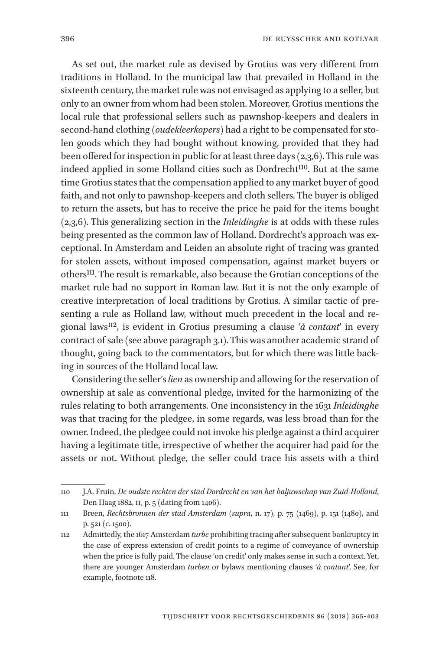As set out, the market rule as devised by Grotius was very different from traditions in Holland. In the municipal law that prevailed in Holland in the sixteenth century, the market rule was not envisaged as applying to a seller, but only to an owner from whom had been stolen. Moreover, Grotius mentions the local rule that professional sellers such as pawnshop-keepers and dealers in second-hand clothing (*oudekleerkopers*) had a right to be compensated for stolen goods which they had bought without knowing, provided that they had been offered for inspection in public for at least three days (2,3,6). This rule was indeed applied in some Holland cities such as Dordrecht<sup>110</sup>. But at the same time Grotius states that the compensation applied to any market buyer of good faith, and not only to pawnshop-keepers and cloth sellers. The buyer is obliged to return the assets, but has to receive the price he paid for the items bought (2,3,6). This generalizing section in the *Inleidinghe* is at odds with these rules being presented as the common law of Holland. Dordrecht's approach was exceptional. In Amsterdam and Leiden an absolute right of tracing was granted for stolen assets, without imposed compensation, against market buyers or others111. The result is remarkable, also because the Grotian conceptions of the market rule had no support in Roman law. But it is not the only example of creative interpretation of local traditions by Grotius. A similar tactic of presenting a rule as Holland law, without much precedent in the local and regional laws112, is evident in Grotius presuming a clause '*à contant*' in every contract of sale (see above paragraph 3.1). This was another academic strand of thought, going back to the commentators, but for which there was little backing in sources of the Holland local law.

Considering the seller's *lien* as ownership and allowing for the reservation of ownership at sale as conventional pledge, invited for the harmonizing of the rules relating to both arrangements. One inconsistency in the 1631 *Inleidinghe* was that tracing for the pledgee, in some regards, was less broad than for the owner. Indeed, the pledgee could not invoke his pledge against a third acquirer having a legitimate title, irrespective of whether the acquirer had paid for the assets or not. Without pledge, the seller could trace his assets with a third

<sup>110</sup> J.A. Fruin, *De oudste rechten der stad Dordrecht en van het baljuwschap van Zuid-Holland*, Den Haag 1882, II, p. 5 (dating from 1406).

<sup>111</sup> Breen, *Rechtsbronnen der stad Amsterdam* (*supra*, n. 17), p. 75 (1469), p. 151 (1480), and p. 521 (*c*. 1500).

<sup>112</sup> Admittedly, the 1617 Amsterdam *turbe* prohibiting tracing after subsequent bankruptcy in the case of express extension of credit points to a regime of conveyance of ownership when the price is fully paid. The clause 'on credit' only makes sense in such a context. Yet, there are younger Amsterdam *turben* or bylaws mentioning clauses '*à contant*'. See, for example, footnote 118.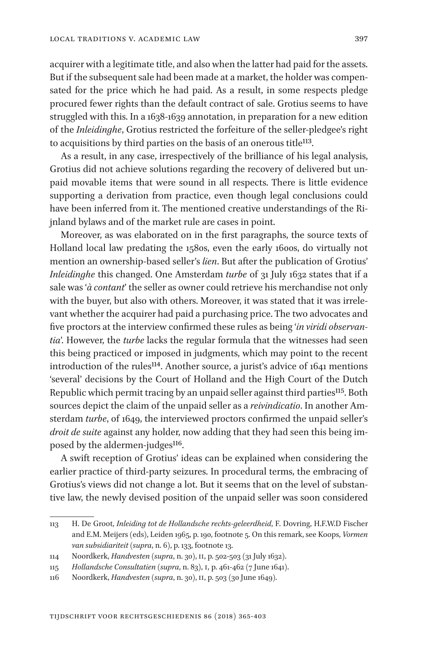acquirer with a legitimate title, and also when the latter had paid for the assets. But if the subsequent sale had been made at a market, the holder was compensated for the price which he had paid. As a result, in some respects pledge procured fewer rights than the default contract of sale. Grotius seems to have struggled with this. In a 1638-1639 annotation, in preparation for a new edition of the *Inleidinghe*, Grotius restricted the forfeiture of the seller-pledgee's right to acquisitions by third parties on the basis of an onerous title<sup>113</sup>.

As a result, in any case, irrespectively of the brilliance of his legal analysis, Grotius did not achieve solutions regarding the recovery of delivered but unpaid movable items that were sound in all respects. There is little evidence supporting a derivation from practice, even though legal conclusions could have been inferred from it. The mentioned creative understandings of the Rijnland bylaws and of the market rule are cases in point.

Moreover, as was elaborated on in the first paragraphs, the source texts of Holland local law predating the 1580s, even the early 1600s, do virtually not mention an ownership-based seller's *lien*. But after the publication of Grotius' *Inleidinghe* this changed. One Amsterdam *turbe* of 31 July 1632 states that if a sale was '*à contant*' the seller as owner could retrieve his merchandise not only with the buyer, but also with others. Moreover, it was stated that it was irrelevant whether the acquirer had paid a purchasing price. The two advocates and five proctors at the interview confirmed these rules as being '*in viridi observantia*'. However, the *turbe* lacks the regular formula that the witnesses had seen this being practiced or imposed in judgments, which may point to the recent introduction of the rules<sup>114</sup>. Another source, a jurist's advice of 1641 mentions 'several' decisions by the Court of Holland and the High Court of the Dutch Republic which permit tracing by an unpaid seller against third parties<sup>115</sup>. Both sources depict the claim of the unpaid seller as a *reivindicatio*. In another Amsterdam *turbe*, of 1649, the interviewed proctors confirmed the unpaid seller's *droit de suite* against any holder, now adding that they had seen this being imposed by the aldermen-judges<sup>116</sup>.

A swift reception of Grotius' ideas can be explained when considering the earlier practice of third-party seizures. In procedural terms, the embracing of Grotius's views did not change a lot. But it seems that on the level of substantive law, the newly devised position of the unpaid seller was soon considered

<sup>113</sup> H. De Groot, *Inleiding tot de Hollandsche rechts-geleerdheid*, F. Dovring, H.F.W.D Fischer and E.M. Meijers (eds), Leiden 1965, p. 190, footnote 5. On this remark, see Koops, *Vormen van subsidiariteit* (*supra*, n. 6), p. 133, footnote 13.

<sup>114</sup> Noordkerk, *Handvesten* (*supra*, n. 30), II, p. 502-503 (31 July 1632).

<sup>115</sup> *Hollandsche Consultatien* (*supra*, n. 83), I, p. 461-462 (7 June 1641).

<sup>116</sup> Noordkerk, *Handvesten* (*supra*, n. 30), II, p. 503 (30 June 1649).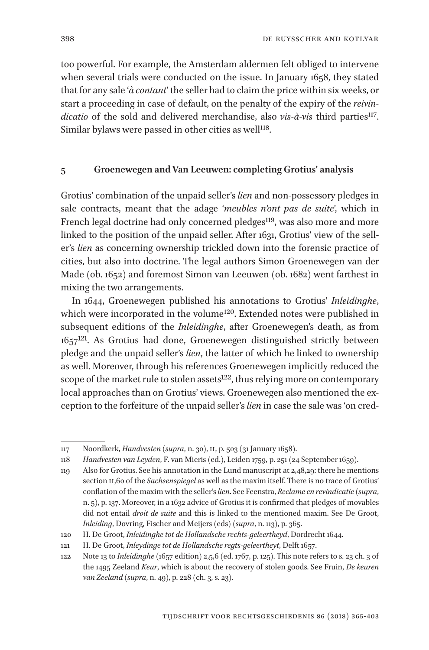too powerful. For example, the Amsterdam aldermen felt obliged to intervene when several trials were conducted on the issue. In January 1658, they stated that for any sale '*à contant*' the seller had to claim the price within six weeks, or start a proceeding in case of default, on the penalty of the expiry of the *reivindicatio* of the sold and delivered merchandise, also *vis-à-vis* third parties117. Similar bylaws were passed in other cities as well<sup>118</sup>.

#### **5 Groenewegen and Van Leeuwen: completing Grotius' analysis**

Grotius' combination of the unpaid seller's *lien* and non-possessory pledges in sale contracts, meant that the adage '*meubles n'ont pas de suite*', which in French legal doctrine had only concerned pledges<sup>119</sup>, was also more and more linked to the position of the unpaid seller. After 1631, Grotius' view of the seller's *lien* as concerning ownership trickled down into the forensic practice of cities, but also into doctrine. The legal authors Simon Groenewegen van der Made (ob. 1652) and foremost Simon van Leeuwen (ob. 1682) went farthest in mixing the two arrangements.

In 1644, Groenewegen published his annotations to Grotius' *Inleidinghe*, which were incorporated in the volume<sup>120</sup>. Extended notes were published in subsequent editions of the *Inleidinghe*, after Groenewegen's death, as from  $1657^{121}$ . As Grotius had done, Groenewegen distinguished strictly between pledge and the unpaid seller's *lien*, the latter of which he linked to ownership as well. Moreover, through his references Groenewegen implicitly reduced the scope of the market rule to stolen assets<sup>122</sup>, thus relying more on contemporary local approaches than on Grotius' views. Groenewegen also mentioned the exception to the forfeiture of the unpaid seller's *lien* in case the sale was 'on cred-

<sup>117</sup> Noordkerk, *Handvesten* (*supra*, n. 30), II, p. 503 (31 January 1658).

<sup>118</sup> *Handvesten van Leyden*, F. van Mieris (ed.), Leiden 1759, p. 251 (24 September 1659).

<sup>119</sup> Also for Grotius. See his annotation in the Lund manuscript at 2,48,29: there he mentions section II,60 of the *Sachsenspiegel* as well as the maxim itself. There is no trace of Grotius' conflation of the maxim with the seller's *lien*. See Feenstra, *Reclame en revindicatie* (*supra*, n. 5), p. 137. Moreover, in a 1632 advice of Grotius it is confirmed that pledges of movables did not entail *droit de suite* and this is linked to the mentioned maxim. See De Groot, *Inleiding*, Dovring, Fischer and Meijers (eds) (*supra*, n. 113), p. 365.

<sup>120</sup> H. De Groot, *Inleidinghe tot de Hollandsche rechts-geleertheyd*, Dordrecht 1644.

<sup>121</sup> H. De Groot, *Inleydinge tot de Hollandsche regts-geleertheyt*, Delft 1657.

<sup>122</sup> Note 13 to *Inleidinghe* (1657 edition) 2,5,6 (ed. 1767, p. 125). This note refers to s. 23 ch. 3 of the 1495 Zeeland *Keur*, which is about the recovery of stolen goods. See Fruin, *De keuren van Zeeland* (*supra*, n. 49), p. 228 (ch. 3, s. 23).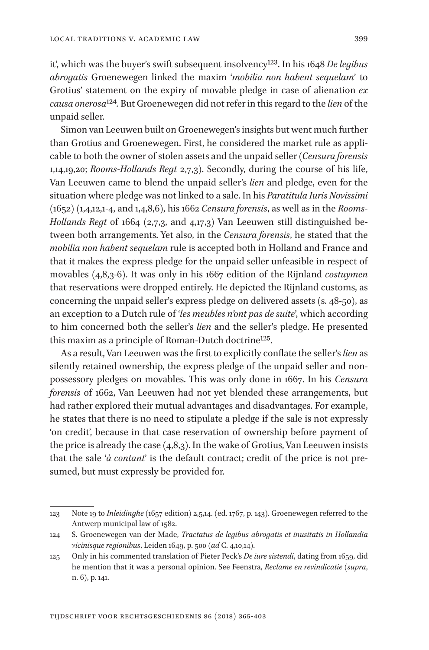it', which was the buyer's swift subsequent insolvency123. In his 1648 *De legibus abrogatis* Groenewegen linked the maxim '*mobilia non habent sequelam*' to Grotius' statement on the expiry of movable pledge in case of alienation *ex causa onerosa*124*.* But Groenewegen did not refer in this regard to the *lien* of the unpaid seller.

Simon van Leeuwen built on Groenewegen's insights but went much further than Grotius and Groenewegen. First, he considered the market rule as applicable to both the owner of stolen assets and the unpaid seller (*Censura forensis* 1,14,19,20; *Rooms-Hollands Regt* 2,7,3). Secondly, during the course of his life, Van Leeuwen came to blend the unpaid seller's *lien* and pledge, even for the situation where pledge was not linked to a sale. In his *Paratitula Iuris Novissimi*  (1652) (1,4,12,1-4, and 1,4,8,6), his 1662 *Censura forensis*, as well as in the *Rooms-Hollands Regt* of 1664 (2,7,3, and 4,17,3) Van Leeuwen still distinguished between both arrangements. Yet also, in the *Censura forensis*, he stated that the *mobilia non habent sequelam* rule is accepted both in Holland and France and that it makes the express pledge for the unpaid seller unfeasible in respect of movables (4,8,3-6). It was only in his 1667 edition of the Rijnland *costuymen* that reservations were dropped entirely. He depicted the Rijnland customs, as concerning the unpaid seller's express pledge on delivered assets (s. 48-50), as an exception to a Dutch rule of '*les meubles n'ont pas de suite*', which according to him concerned both the seller's *lien* and the seller's pledge. He presented this maxim as a principle of Roman-Dutch doctrine<sup>125</sup>.

As a result, Van Leeuwen was the first to explicitly conflate the seller's *lien* as silently retained ownership, the express pledge of the unpaid seller and nonpossessory pledges on movables. This was only done in 1667. In his *Censura forensis* of 1662, Van Leeuwen had not yet blended these arrangements, but had rather explored their mutual advantages and disadvantages. For example, he states that there is no need to stipulate a pledge if the sale is not expressly 'on credit', because in that case reservation of ownership before payment of the price is already the case  $(4,8,3)$ . In the wake of Grotius, Van Leeuwen insists that the sale '*à contant*' is the default contract; credit of the price is not presumed, but must expressly be provided for.

<sup>123</sup> Note 19 to *Inleidinghe* (1657 edition) 2,5,14. (ed. 1767, p. 143). Groenewegen referred to the Antwerp municipal law of 1582.

<sup>124</sup> S. Groenewegen van der Made, *Tractatus de legibus abrogatis et inusitatis in Hollandia vicinisque regionibus*, Leiden 1649, p. 500 (*ad* C. 4,10,14).

<sup>125</sup> Only in his commented translation of Pieter Peck's *De iure sistendi*, dating from 1659, did he mention that it was a personal opinion. See Feenstra, *Reclame en revindicatie* (*supra*, n. 6), p. 141.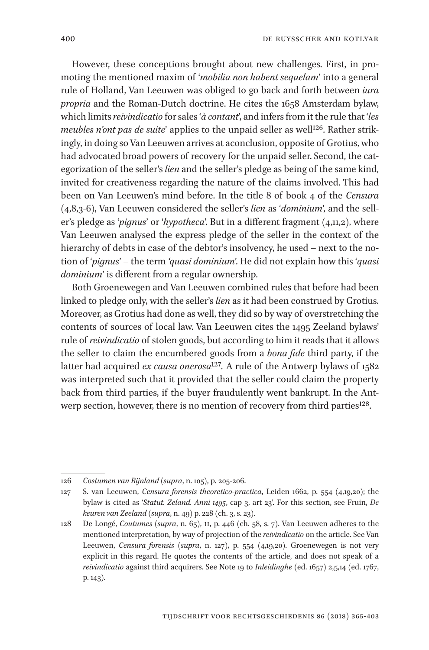However, these conceptions brought about new challenges. First, in promoting the mentioned maxim of '*mobilia non habent sequelam*' into a general rule of Holland, Van Leeuwen was obliged to go back and forth between *iura propria* and the Roman-Dutch doctrine. He cites the 1658 Amsterdam bylaw, which limits *reivindicatio* for sales '*à contant*', and infers from it the rule that '*les meubles n'ont pas de suite'* applies to the unpaid seller as well<sup>126</sup>. Rather strikingly, in doing so Van Leeuwen arrives at aconclusion, opposite of Grotius, who had advocated broad powers of recovery for the unpaid seller. Second, the categorization of the seller's *lien* and the seller's pledge as being of the same kind, invited for creativeness regarding the nature of the claims involved. This had been on Van Leeuwen's mind before. In the title 8 of book 4 of the *Censura*  (4,8,3-6), Van Leeuwen considered the seller's *lien* as '*dominium*', and the seller's pledge as '*pignus*' or '*hypotheca*'. But in a different fragment (4,11,2), where Van Leeuwen analysed the express pledge of the seller in the context of the hierarchy of debts in case of the debtor's insolvency, he used – next to the notion of '*pignus*' – the term *'quasi dominium*'. He did not explain how this '*quasi dominium*' is different from a regular ownership.

Both Groenewegen and Van Leeuwen combined rules that before had been linked to pledge only, with the seller's *lien* as it had been construed by Grotius. Moreover, as Grotius had done as well, they did so by way of overstretching the contents of sources of local law. Van Leeuwen cites the 1495 Zeeland bylaws' rule of *reivindicatio* of stolen goods, but according to him it reads that it allows the seller to claim the encumbered goods from a *bona fide* third party, if the latter had acquired *ex causa onerosa*<sup>127</sup>. A rule of the Antwerp bylaws of 1582 was interpreted such that it provided that the seller could claim the property back from third parties, if the buyer fraudulently went bankrupt. In the Antwerp section, however, there is no mention of recovery from third parties<sup>128</sup>.

<sup>126</sup> *Costumen van Rijnland* (*supra*, n. 105), p. 205-206.

<sup>127</sup> S. van Leeuwen, *Censura forensis theoretico-practica*, Leiden 1662, p. 554 (4,19,20); the bylaw is cited as '*Statut. Zeland. Anni 1495*, cap 3, art 23'. For this section, see Fruin, *De keuren van Zeeland* (*supra*, n. 49) p. 228 (ch. 3, s. 23).

<sup>128</sup> De Longé, *Coutumes* (*supra*, n. 65), II, p. 446 (ch. 58, s. 7). Van Leeuwen adheres to the mentioned interpretation, by way of projection of the *reivindicatio* on the article. See Van Leeuwen, *Censura forensis* (*supra*, n. 127), p. 554 (4,19,20). Groenewegen is not very explicit in this regard. He quotes the contents of the article, and does not speak of a *reivindicatio* against third acquirers. See Note 19 to *Inleidinghe* (ed. 1657) 2,5,14 (ed. 1767, p. 143).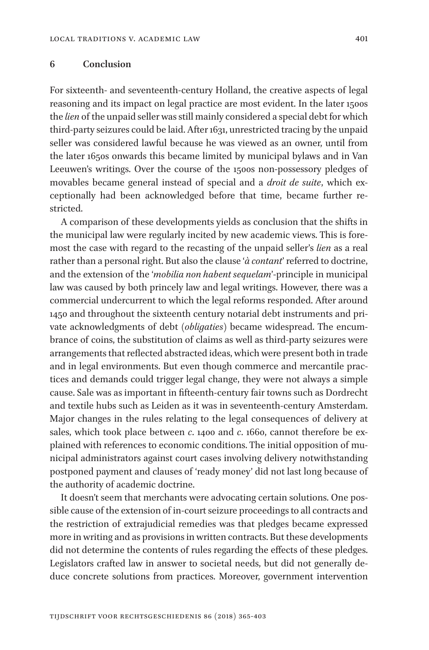#### **6 Conclusion**

For sixteenth- and seventeenth-century Holland, the creative aspects of legal reasoning and its impact on legal practice are most evident. In the later 1500s the *lien* of the unpaid seller was still mainly considered a special debt for which third-party seizures could be laid. After 1631, unrestricted tracing by the unpaid seller was considered lawful because he was viewed as an owner, until from the later 1650s onwards this became limited by municipal bylaws and in Van Leeuwen's writings. Over the course of the 1500s non-possessory pledges of movables became general instead of special and a *droit de suite*, which exceptionally had been acknowledged before that time, became further restricted.

A comparison of these developments yields as conclusion that the shifts in the municipal law were regularly incited by new academic views. This is foremost the case with regard to the recasting of the unpaid seller's *lien* as a real rather than a personal right. But also the clause '*à contant*' referred to doctrine, and the extension of the '*mobilia non habent sequelam*'-principle in municipal law was caused by both princely law and legal writings. However, there was a commercial undercurrent to which the legal reforms responded. After around 1450 and throughout the sixteenth century notarial debt instruments and private acknowledgments of debt (*obligaties*) became widespread. The encumbrance of coins, the substitution of claims as well as third-party seizures were arrangements that reflected abstracted ideas, which were present both in trade and in legal environments. But even though commerce and mercantile practices and demands could trigger legal change, they were not always a simple cause. Sale was as important in fifteenth-century fair towns such as Dordrecht and textile hubs such as Leiden as it was in seventeenth-century Amsterdam. Major changes in the rules relating to the legal consequences of delivery at sales, which took place between *c*. 1400 and *c*. 1660, cannot therefore be explained with references to economic conditions. The initial opposition of municipal administrators against court cases involving delivery notwithstanding postponed payment and clauses of 'ready money' did not last long because of the authority of academic doctrine.

It doesn't seem that merchants were advocating certain solutions. One possible cause of the extension of in-court seizure proceedings to all contracts and the restriction of extrajudicial remedies was that pledges became expressed more in writing and as provisions in written contracts. But these developments did not determine the contents of rules regarding the effects of these pledges. Legislators crafted law in answer to societal needs, but did not generally deduce concrete solutions from practices. Moreover, government intervention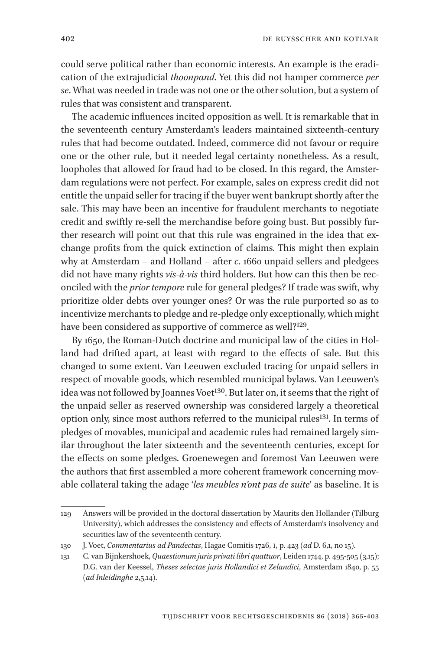could serve political rather than economic interests. An example is the eradication of the extrajudicial *thoonpand*. Yet this did not hamper commerce *per se*. What was needed in trade was not one or the other solution, but a system of rules that was consistent and transparent.

The academic influences incited opposition as well. It is remarkable that in the seventeenth century Amsterdam's leaders maintained sixteenth-century rules that had become outdated. Indeed, commerce did not favour or require one or the other rule, but it needed legal certainty nonetheless. As a result, loopholes that allowed for fraud had to be closed. In this regard, the Amsterdam regulations were not perfect. For example, sales on express credit did not entitle the unpaid seller for tracing if the buyer went bankrupt shortly after the sale. This may have been an incentive for fraudulent merchants to negotiate credit and swiftly re-sell the merchandise before going bust. But possibly further research will point out that this rule was engrained in the idea that exchange profits from the quick extinction of claims. This might then explain why at Amsterdam – and Holland – after *c*. 1660 unpaid sellers and pledgees did not have many rights *vis-à-vis* third holders. But how can this then be reconciled with the *prior tempore* rule for general pledges? If trade was swift, why prioritize older debts over younger ones? Or was the rule purported so as to incentivize merchants to pledge and re-pledge only exceptionally, which might have been considered as supportive of commerce as well?<sup>129</sup>.

By 1650, the Roman-Dutch doctrine and municipal law of the cities in Holland had drifted apart, at least with regard to the effects of sale. But this changed to some extent. Van Leeuwen excluded tracing for unpaid sellers in respect of movable goods, which resembled municipal bylaws. Van Leeuwen's idea was not followed by Joannes Voet<sup>130</sup>. But later on, it seems that the right of the unpaid seller as reserved ownership was considered largely a theoretical option only, since most authors referred to the municipal rules<sup>131</sup>. In terms of pledges of movables, municipal and academic rules had remained largely similar throughout the later sixteenth and the seventeenth centuries, except for the effects on some pledges. Groenewegen and foremost Van Leeuwen were the authors that first assembled a more coherent framework concerning movable collateral taking the adage '*les meubles n'ont pas de suite*' as baseline. It is

<sup>129</sup> Answers will be provided in the doctoral dissertation by Maurits den Hollander (Tilburg University), which addresses the consistency and effects of Amsterdam's insolvency and securities law of the seventeenth century.

<sup>130</sup> J. Voet, *Commentarius ad Pandectas*, Hagae Comitis 1726, I, p. 423 (*ad* D. 6,1, no 15).

<sup>131</sup> C. van Bijnkershoek, *Quaestionum juris privati libri quattuor*, Leiden 1744, p. 495-505 (3,15); D.G. van der Keessel, *Theses selectae juris Hollandici et Zelandici*, Amsterdam 1840, p. 55 (*ad Inleidinghe* 2,5,14).